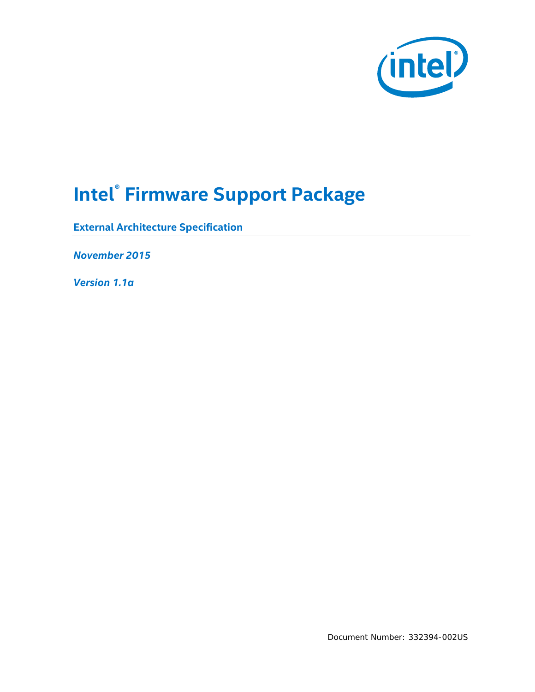

# **Intel® Firmware Support Package**

**External Architecture Specification**

*November 2015*

*Version 1.1a*

Document Number: 332394-002US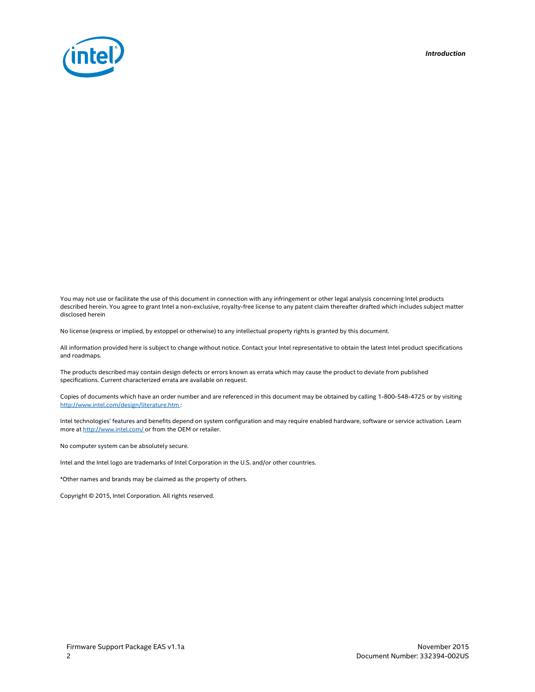*Introduction*



You may not use or facilitate the use of this document in connection with any infringement or other legal analysis concerning Intel products described herein. You agree to grant Intel a non-exclusive, royalty-free license to any patent claim thereafter drafted which includes subject matter disclosed herein

No license (express or implied, by estoppel or otherwise) to any intellectual property rights is granted by this document.

All information provided here is subject to change without notice. Contact your Intel representative to obtain the latest Intel product specifications and roadmaps.

The products described may contain design defects or errors known as errata which may cause the product to deviate from published specifications. Current characterized errata are available on request.

Copies of documents which have an order number and are referenced in this document may be obtained by calling 1-800-548-4725 or by visiting http://www.intel.com/design/literature.htm :

Intel technologies' features and benefits depend on system configuration and may require enabled hardware, software or service activation. Learn more a[t http://www.intel.com/](http://www.intel.com/) or from the OEM or retailer.

No computer system can be absolutely secure.

Intel and the Intel logo are trademarks of Intel Corporation in the U.S. and/or other countries.

\*Other names and brands may be claimed as the property of others.

Copyright © 2015, Intel Corporation. All rights reserved.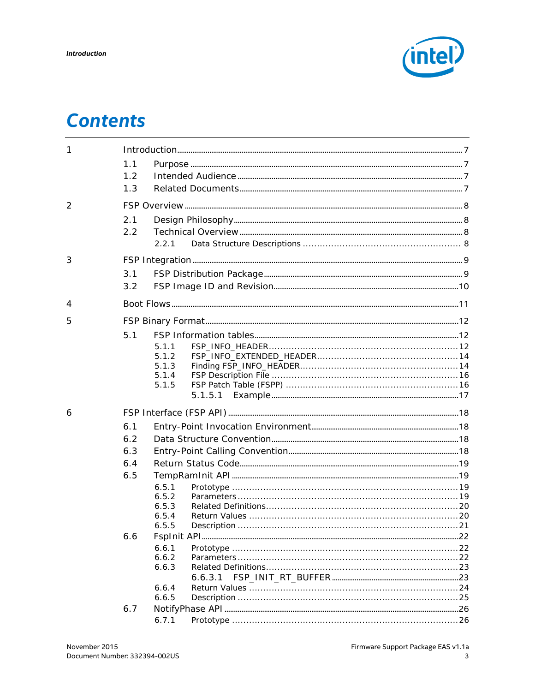

# **Contents**

| 1              |     |                |  |
|----------------|-----|----------------|--|
|                | 1.1 |                |  |
|                | 1.2 |                |  |
|                | 1.3 |                |  |
| $\overline{2}$ |     |                |  |
|                | 2.1 |                |  |
|                | 2.2 |                |  |
|                |     | 2.2.1          |  |
| 3              |     |                |  |
|                | 3.1 |                |  |
|                | 3.2 |                |  |
| 4              |     |                |  |
| 5              |     |                |  |
|                | 5.1 |                |  |
|                |     | 5.1.1          |  |
|                |     | 5.1.2          |  |
|                |     | 5.1.3          |  |
|                |     | 5.1.4<br>5.1.5 |  |
|                |     |                |  |
| 6              |     |                |  |
|                | 6.1 |                |  |
|                | 6.2 |                |  |
|                | 6.3 |                |  |
|                | 6.4 |                |  |
|                | 6.5 |                |  |
|                |     | 6.5.1          |  |
|                |     | 6.5.2          |  |
|                |     | 6.5.3          |  |
|                |     | 6.5.4          |  |
|                |     | 6.5.5          |  |
|                | 6.6 |                |  |
|                |     | 6.6.1<br>6.6.2 |  |
|                |     | 6.6.3          |  |
|                |     | 6.6.3.1        |  |
|                |     | 6.6.4          |  |
|                |     | 6.6.5          |  |
|                | 6.7 |                |  |
|                |     | 6.7.1          |  |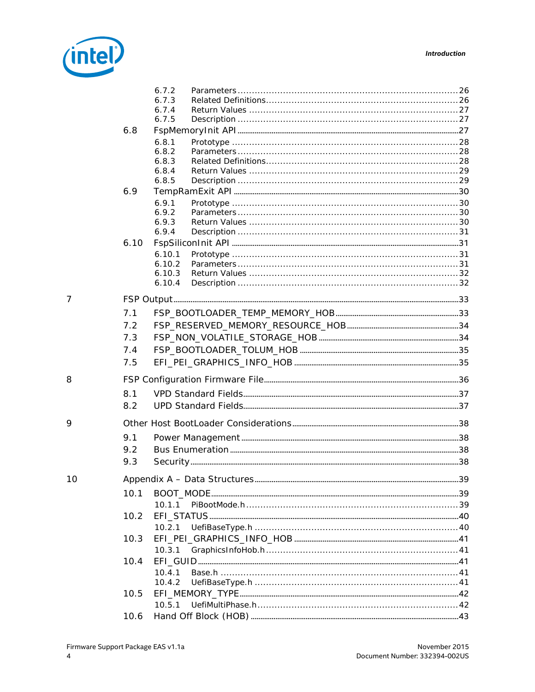#### Introduction



 $\overline{7}$ 

 $\, 8$ 

 $\mathsf{q}$ 

|    |      | 6.7.2<br>6.7.3 |  |
|----|------|----------------|--|
|    |      | 6.7.4          |  |
|    |      | 6.7.5          |  |
|    | 6.8  |                |  |
|    |      | 6.8.1          |  |
|    |      | 6.8.2<br>6.8.3 |  |
|    |      | 6.8.4          |  |
|    |      | 6.8.5          |  |
|    | 6.9  |                |  |
|    |      | 6.9.1          |  |
|    |      | 6.9.2          |  |
|    |      | 6.9.3          |  |
|    |      | 6.9.4          |  |
|    | 6.10 |                |  |
|    |      | 6.10.1         |  |
|    |      | 6.10.2         |  |
|    |      | 6.10.3         |  |
|    |      | 6.10.4         |  |
| 7  |      |                |  |
|    | 7.1  |                |  |
|    |      |                |  |
|    | 7.2  |                |  |
|    | 7.3  |                |  |
|    | 7.4  |                |  |
|    | 7.5  |                |  |
| 8  |      |                |  |
|    | 8.1  |                |  |
|    | 8.2  |                |  |
| 9  |      |                |  |
|    | 9.1  |                |  |
|    | 9.2  |                |  |
|    | 9.3  |                |  |
|    |      |                |  |
| 10 |      |                |  |
|    | 10.1 |                |  |
|    |      | 10.1.1         |  |
|    | 10.2 |                |  |
|    |      | 10.2.1         |  |
|    | 10.3 |                |  |
|    |      | 10.3.1         |  |
|    | 10.4 |                |  |
|    |      | 10.4.1         |  |
|    |      | 10.4.2         |  |
|    | 10.5 |                |  |
|    |      | 10.5.1         |  |
|    | 10.6 |                |  |
|    |      |                |  |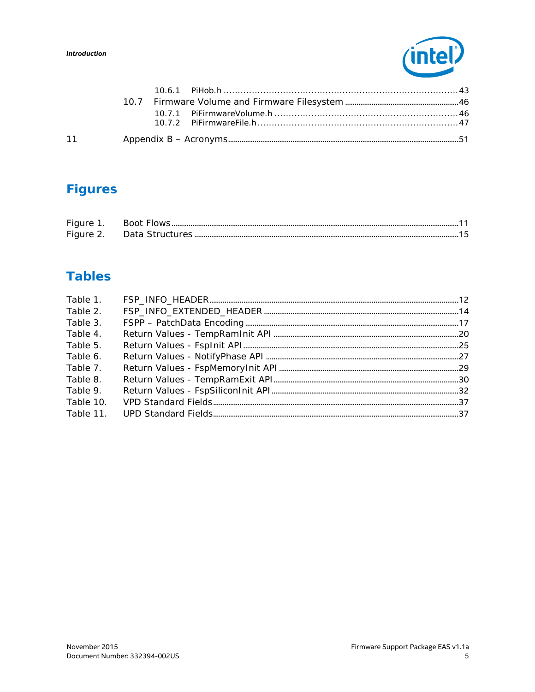#### **Introduction**



| luction |  | <i>(intel)</i> |
|---------|--|----------------|
|         |  |                |
|         |  |                |
|         |  |                |
|         |  |                |
|         |  |                |

# **Figures**

 $11$ 

| $\overline{\phantom{a}}$<br>- 1 |  |
|---------------------------------|--|
| $\overline{\phantom{0}}$<br>F   |  |

# **Tables**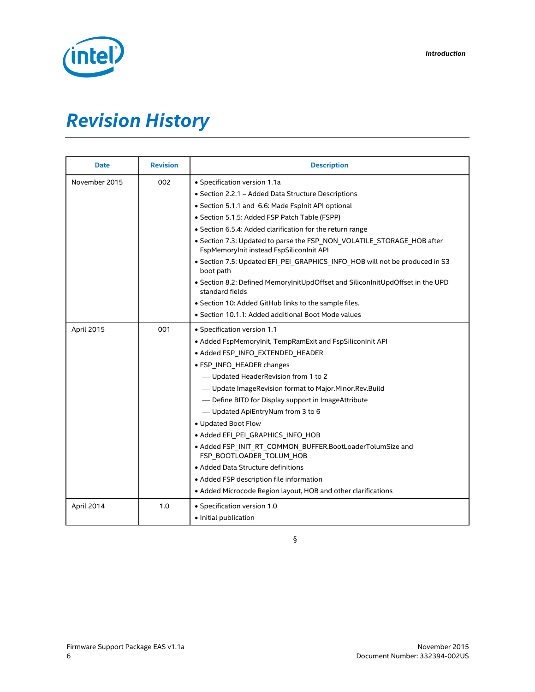

# *Revision History*

| <b>Date</b>   | <b>Revision</b> | <b>Description</b>                                                                                                 |  |
|---------------|-----------------|--------------------------------------------------------------------------------------------------------------------|--|
| November 2015 | 002             | · Specification version 1.1a                                                                                       |  |
|               |                 | • Section 2.2.1 - Added Data Structure Descriptions                                                                |  |
|               |                 | • Section 5.1.1 and 6.6: Made Fsplnit API optional                                                                 |  |
|               |                 | • Section 5.1.5: Added FSP Patch Table (FSPP)                                                                      |  |
|               |                 | • Section 6.5.4: Added clarification for the return range                                                          |  |
|               |                 | • Section 7.3: Updated to parse the FSP_NON_VOLATILE_STORAGE_HOB after<br>FspMemoryInit instead FspSiliconInit API |  |
|               |                 | • Section 7.5: Updated EFI PEI GRAPHICS INFO HOB will not be produced in S3<br>boot path                           |  |
|               |                 | . Section 8.2: Defined MemoryInitUpdOffset and SiliconInitUpdOffset in the UPD<br>standard fields                  |  |
|               |                 | • Section 10: Added GitHub links to the sample files.                                                              |  |
|               |                 | • Section 10.1.1: Added additional Boot Mode values                                                                |  |
| April 2015    | 001             | • Specification version 1.1                                                                                        |  |
|               |                 | • Added FspMemoryInit, TempRamExit and FspSiliconInit API                                                          |  |
|               |                 | • Added FSP INFO EXTENDED HEADER                                                                                   |  |
|               |                 | • FSP_INFO_HEADER changes                                                                                          |  |
|               |                 | - Updated HeaderRevision from 1 to 2                                                                               |  |
|               |                 | - Update ImageRevision format to Major.Minor.Rev.Build                                                             |  |
|               |                 | - Define BITO for Display support in ImageAttribute                                                                |  |
|               |                 | - Updated ApiEntryNum from 3 to 6                                                                                  |  |
|               |                 | • Updated Boot Flow                                                                                                |  |
|               |                 | • Added EFI PEI GRAPHICS INFO HOB                                                                                  |  |
|               |                 | • Added FSP INIT RT COMMON BUFFER.BootLoaderTolumSize and<br>FSP_BOOTLOADER_TOLUM_HOB                              |  |
|               |                 | • Added Data Structure definitions                                                                                 |  |
|               |                 | • Added FSP description file information                                                                           |  |
|               |                 | • Added Microcode Region layout, HOB and other clarifications                                                      |  |
| April 2014    | 1.0             | • Specification version 1.0                                                                                        |  |
|               |                 | • Initial publication                                                                                              |  |

§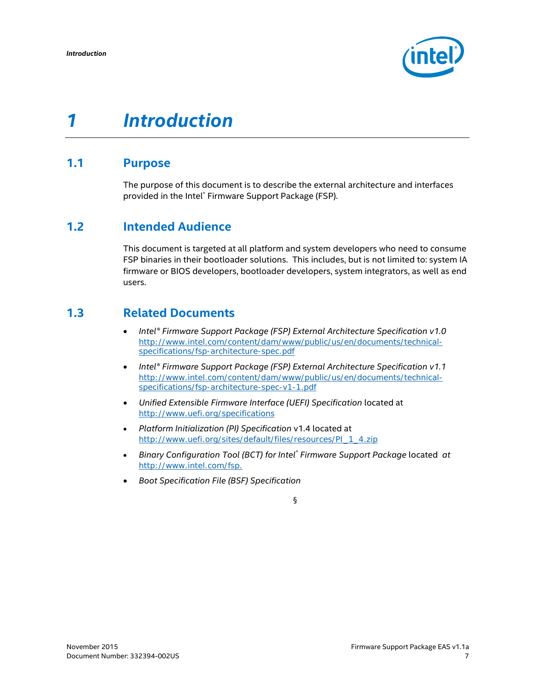

# <span id="page-6-0"></span>*1 Introduction*

## **1.1 Purpose**

<span id="page-6-2"></span><span id="page-6-1"></span>The purpose of this document is to describe the external architecture and interfaces provided in the Intel® Firmware Support Package (FSP).

## **1.2 Intended Audience**

This document is targeted at all platform and system developers who need to consume FSP binaries in their bootloader solutions. This includes, but is not limited to: system IA firmware or BIOS developers, bootloader developers, system integrators, as well as end users.

## **1.3 Related Documents**

- <span id="page-6-3"></span>• *Intel® Firmware Support Package (FSP) External Architecture Specification v1.0* [http://www.intel.com/content/dam/www/public/us/en/documents/technical](http://www.intel.com/content/dam/www/public/us/en/documents/technical-specifications/fsp-architecture-spec.pdf)[specifications/fsp-architecture-spec.pdf](http://www.intel.com/content/dam/www/public/us/en/documents/technical-specifications/fsp-architecture-spec.pdf)
- *Intel® Firmware Support Package (FSP) External Architecture Specification v1.1*  [http://www.intel.com/content/dam/www/public/us/en/documents/technical](http://www.intel.com/content/dam/www/public/us/en/documents/technical-specifications/fsp-architecture-spec-v1-1.pdf)[specifications/fsp-architecture-spec-v1-1.pdf](http://www.intel.com/content/dam/www/public/us/en/documents/technical-specifications/fsp-architecture-spec-v1-1.pdf)
- *Unified Extensible Firmware Interface (UEFI) Specification* located at <http://www.uefi.org/specifications>
- *Platform Initialization (PI) Specification* v1.4 located at [http://www.uefi.org/sites/default/files/resources/PI\\_1\\_4.zip](http://www.uefi.org/sites/default/files/resources/PI_1_4.zip)
- *Binary Configuration Tool (BCT) for Intel® Firmware Support Package* located *at*  [http://www.intel.com/fsp.](http://www.intel.com/fsp)
- *Boot Specification File (BSF) Specification*

#### §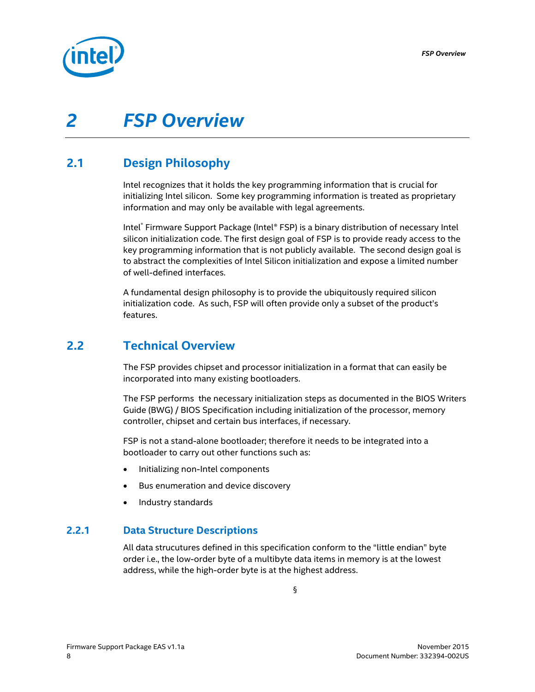

# <span id="page-7-0"></span>*2 FSP Overview*

# **2.1 Design Philosophy**

<span id="page-7-1"></span>Intel recognizes that it holds the key programming information that is crucial for initializing Intel silicon. Some key programming information is treated as proprietary information and may only be available with legal agreements.

Intel® Firmware Support Package (Intel® FSP) is a binary distribution of necessary Intel silicon initialization code. The first design goal of FSP is to provide ready access to the key programming information that is not publicly available. The second design goal is to abstract the complexities of Intel Silicon initialization and expose a limited number of well-defined interfaces.

<span id="page-7-2"></span>A fundamental design philosophy is to provide the ubiquitously required silicon initialization code. As such, FSP will often provide only a subset of the product's features.

## **2.2 Technical Overview**

The FSP provides chipset and processor initialization in a format that can easily be incorporated into many existing bootloaders.

The FSP performs the necessary initialization steps as documented in the BIOS Writers Guide (BWG) / BIOS Specification including initialization of the processor, memory controller, chipset and certain bus interfaces, if necessary.

FSP is not a stand-alone bootloader; therefore it needs to be integrated into a bootloader to carry out other functions such as:

- Initializing non-Intel components
- Bus enumeration and device discovery
- <span id="page-7-3"></span>• Industry standards

#### **2.2.1 Data Structure Descriptions**

All data strucutures defined in this specification conform to the "little endian" byte order i.e., the low-order byte of a multibyte data items in memory is at the lowest address, while the high-order byte is at the highest address.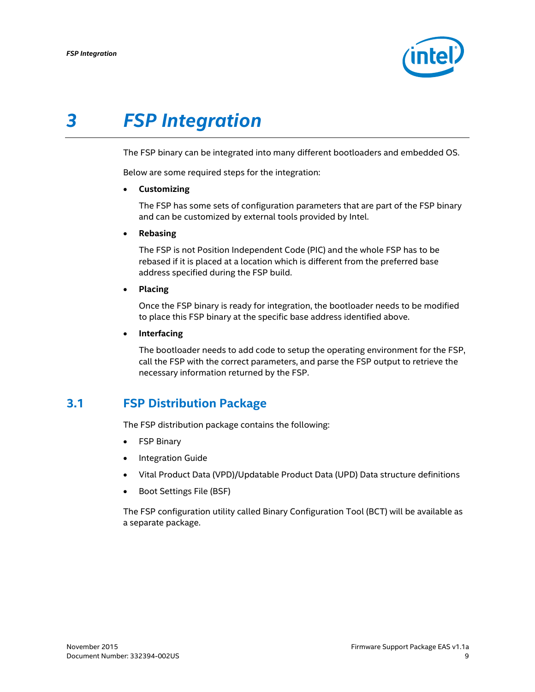

# <span id="page-8-0"></span>*3 FSP Integration*

The FSP binary can be integrated into many different bootloaders and embedded OS.

Below are some required steps for the integration:

• **Customizing**

The FSP has some sets of configuration parameters that are part of the FSP binary and can be customized by external tools provided by Intel.

• **Rebasing**

The FSP is not Position Independent Code (PIC) and the whole FSP has to be rebased if it is placed at a location which is different from the preferred base address specified during the FSP build.

• **Placing**

Once the FSP binary is ready for integration, the bootloader needs to be modified to place this FSP binary at the specific base address identified above.

• **Interfacing**

<span id="page-8-1"></span>The bootloader needs to add code to setup the operating environment for the FSP, call the FSP with the correct parameters, and parse the FSP output to retrieve the necessary information returned by the FSP.

## **3.1 FSP Distribution Package**

The FSP distribution package contains the following:

- FSP Binary
- Integration Guide
- Vital Product Data (VPD)/Updatable Product Data (UPD) Data structure definitions
- Boot Settings File (BSF)

The FSP configuration utility called Binary Configuration Tool (BCT) will be available as a separate package.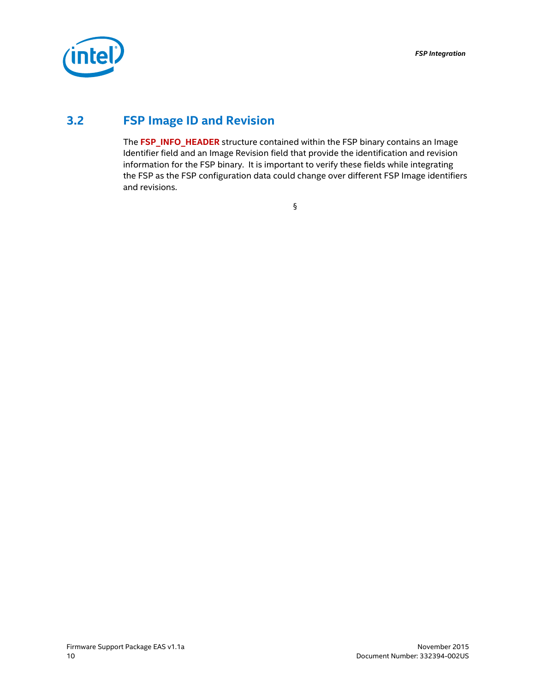

# **3.2 FSP Image ID and Revision**

<span id="page-9-0"></span>The **FSP\_INFO\_HEADER** structure contained within the FSP binary contains an Image Identifier field and an Image Revision field that provide the identification and revision information for the FSP binary. It is important to verify these fields while integrating the FSP as the FSP configuration data could change over different FSP Image identifiers and revisions.

§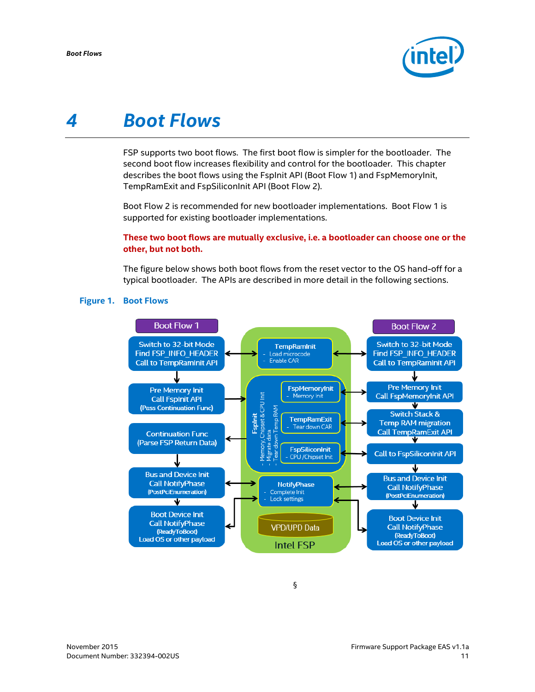

# <span id="page-10-0"></span>*4 Boot Flows*

FSP supports two boot flows. The first boot flow is simpler for the bootloader. The second boot flow increases flexibility and control for the bootloader. This chapter describes the boot flows using the FspInit API (Boot Flow 1) and FspMemoryInit, TempRamExit and FspSiliconInit API (Boot Flow 2).

Boot Flow 2 is recommended for new bootloader implementations. Boot Flow 1 is supported for existing bootloader implementations.

#### **These two boot flows are mutually exclusive, i.e. a bootloader can choose one or the other, but not both.**

The figure below shows both boot flows from the reset vector to the OS hand-off for a typical bootloader. The APIs are described in more detail in the following sections.



#### <span id="page-10-1"></span>**Figure 1. Boot Flows**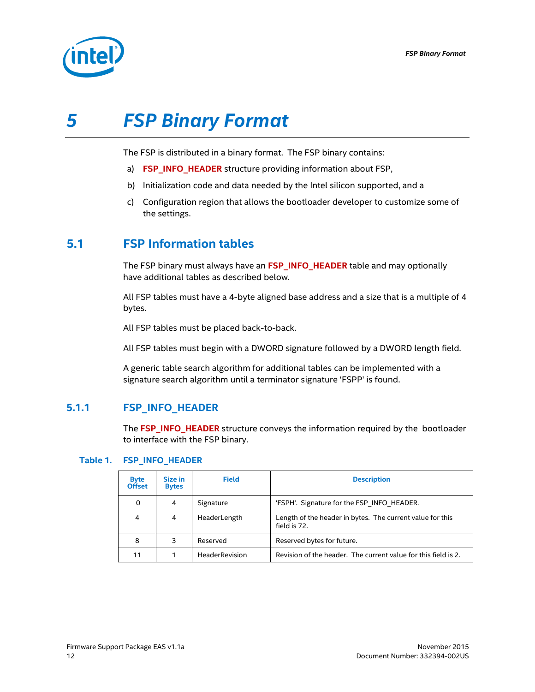

# <span id="page-11-0"></span>*5 FSP Binary Format*

The FSP is distributed in a binary format. The FSP binary contains:

- a) **FSP\_INFO\_HEADER** structure providing information about FSP,
- b) Initialization code and data needed by the Intel silicon supported, and a
- <span id="page-11-1"></span>c) Configuration region that allows the bootloader developer to customize some of the settings.

## **5.1 FSP Information tables**

The FSP binary must always have an **FSP\_INFO\_HEADER** table and may optionally have additional tables as described below.

All FSP tables must have a 4-byte aligned base address and a size that is a multiple of 4 bytes.

All FSP tables must be placed back-to-back.

All FSP tables must begin with a DWORD signature followed by a DWORD length field.

<span id="page-11-2"></span>A generic table search algorithm for additional tables can be implemented with a signature search algorithm until a terminator signature 'FSPP' is found.

### **5.1.1 FSP\_INFO\_HEADER**

The **FSP\_INFO\_HEADER** structure conveys the information required by the bootloader to interface with the FSP binary.

#### <span id="page-11-3"></span>**Table 1. FSP\_INFO\_HEADER**

| <b>Byte</b><br><b>Offset</b> | Size in<br><b>Bytes</b> | <b>Field</b>   | <b>Description</b>                                                        |
|------------------------------|-------------------------|----------------|---------------------------------------------------------------------------|
| 0                            | 4                       | Signature      | 'FSPH'. Signature for the FSP INFO HEADER.                                |
| 4                            | 4                       | HeaderLength   | Length of the header in bytes. The current value for this<br>field is 72. |
| 8                            | 3                       | Reserved       | Reserved bytes for future.                                                |
| 11                           |                         | HeaderRevision | Revision of the header. The current value for this field is 2.            |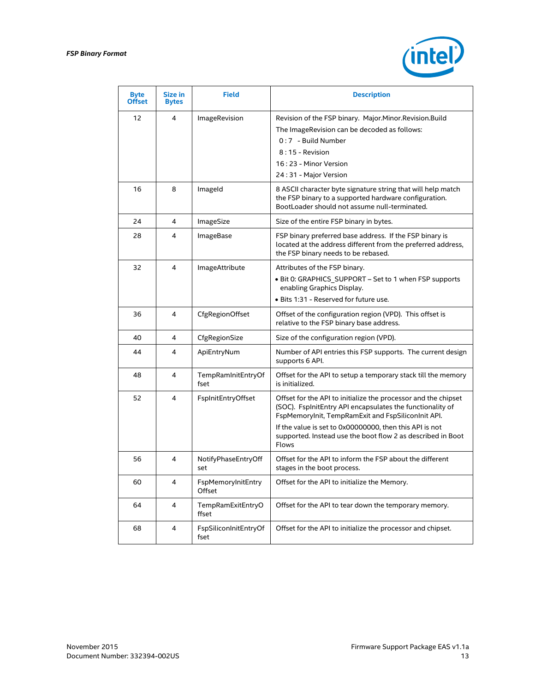#### *FSP Binary Format*



| <b>Byte</b><br><b>Offset</b> | Size in<br><b>Bytes</b> | <b>Field</b>                  | <b>Description</b>                                                                                                                                                                                                                                                                                                          |
|------------------------------|-------------------------|-------------------------------|-----------------------------------------------------------------------------------------------------------------------------------------------------------------------------------------------------------------------------------------------------------------------------------------------------------------------------|
| 12                           | 4                       | ImageRevision                 | Revision of the FSP binary. Major.Minor.Revision.Build<br>The ImageRevision can be decoded as follows:<br>0:7 - Build Number<br>8:15 - Revision<br>16 : 23 - Minor Version<br>24:31 - Major Version                                                                                                                         |
| 16                           | 8                       | ImageId                       | 8 ASCII character byte signature string that will help match<br>the FSP binary to a supported hardware configuration.<br>BootLoader should not assume null-terminated.                                                                                                                                                      |
| 24                           | 4                       | ImageSize                     | Size of the entire FSP binary in bytes.                                                                                                                                                                                                                                                                                     |
| 28                           | 4                       | ImageBase                     | FSP binary preferred base address. If the FSP binary is<br>located at the address different from the preferred address,<br>the FSP binary needs to be rebased.                                                                                                                                                              |
| 32                           | 4                       | ImageAttribute                | Attributes of the FSP binary.<br>• Bit 0: GRAPHICS_SUPPORT - Set to 1 when FSP supports<br>enabling Graphics Display.<br>· Bits 1:31 - Reserved for future use.                                                                                                                                                             |
| 36                           | 4                       | CfgRegionOffset               | Offset of the configuration region (VPD). This offset is<br>relative to the FSP binary base address.                                                                                                                                                                                                                        |
| 40                           | 4                       | CfgRegionSize                 | Size of the configuration region (VPD).                                                                                                                                                                                                                                                                                     |
| 44                           | 4                       | ApiEntryNum                   | Number of API entries this FSP supports. The current design<br>supports 6 API.                                                                                                                                                                                                                                              |
| 48                           | 4                       | TempRamInitEntryOf<br>fset    | Offset for the API to setup a temporary stack till the memory<br>is initialized.                                                                                                                                                                                                                                            |
| 52                           | 4                       | FspInitEntryOffset            | Offset for the API to initialize the processor and the chipset<br>(SOC). FspInitEntry API encapsulates the functionality of<br>FspMemoryInit, TempRamExit and FspSiliconInit API.<br>If the value is set to 0x00000000, then this API is not<br>supported. Instead use the boot flow 2 as described in Boot<br><b>Flows</b> |
| 56                           | 4                       | NotifyPhaseEntryOff<br>set    | Offset for the API to inform the FSP about the different<br>stages in the boot process.                                                                                                                                                                                                                                     |
| 60                           | 4                       | FspMemoryInitEntry<br>Offset  | Offset for the API to initialize the Memory.                                                                                                                                                                                                                                                                                |
| 64                           | 4                       | TempRamExitEntryO<br>ffset    | Offset for the API to tear down the temporary memory.                                                                                                                                                                                                                                                                       |
| 68                           | 4                       | FspSiliconInitEntryOf<br>fset | Offset for the API to initialize the processor and chipset.                                                                                                                                                                                                                                                                 |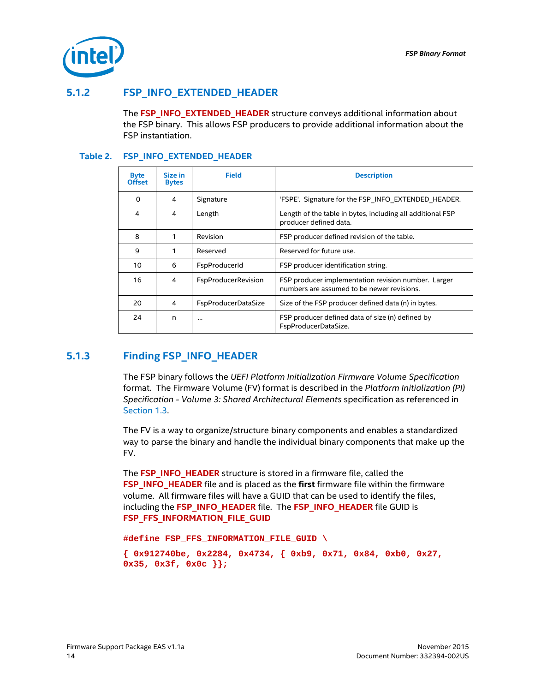

## **5.1.2 FSP\_INFO\_EXTENDED\_HEADER**

<span id="page-13-0"></span>The FSP\_INFO\_EXTENDED\_HEADER structure conveys additional information about the FSP binary. This allows FSP producers to provide additional information about the FSP instantiation.

#### <span id="page-13-2"></span>**Table 2. FSP\_INFO\_EXTENDED\_HEADER**

| <b>Byte</b><br><b>Offset</b> | Size in<br><b>Bytes</b> | <b>Field</b>        | <b>Description</b>                                                                                |
|------------------------------|-------------------------|---------------------|---------------------------------------------------------------------------------------------------|
| $\Omega$                     | 4                       | Signature           | 'FSPE'. Signature for the FSP INFO EXTENDED HEADER.                                               |
| 4                            | 4                       | Length              | Length of the table in bytes, including all additional FSP<br>producer defined data.              |
| 8                            | 1                       | <b>Revision</b>     | FSP producer defined revision of the table.                                                       |
| 9                            | 1                       | Reserved            | Reserved for future use.                                                                          |
| 10                           | 6                       | FspProducerId       | FSP producer identification string.                                                               |
| 16                           | 4                       | FspProducerRevision | FSP producer implementation revision number. Larger<br>numbers are assumed to be newer revisions. |
| 20                           | 4                       | FspProducerDataSize | Size of the FSP producer defined data (n) in bytes.                                               |
| 24                           | n                       | $\cdots$            | FSP producer defined data of size (n) defined by<br>FspProducerDataSize.                          |

## **5.1.3 Finding FSP\_INFO\_HEADER**

<span id="page-13-1"></span>The FSP binary follows the *UEFI Platform Initialization Firmware Volume Specification* format. The Firmware Volume (FV) format is described in the *Platform Initialization (PI) Specification - Volume 3: Shared Architectural Elements* specification as referenced in [Section 1.3.](#page-6-3)

The FV is a way to organize/structure binary components and enables a standardized way to parse the binary and handle the individual binary components that make up the FV.

The **FSP\_INFO\_HEADER** structure is stored in a firmware file, called the **FSP\_INFO\_HEADER** file and is placed as the **first** firmware file within the firmware volume. All firmware files will have a GUID that can be used to identify the files, including the **FSP\_INFO\_HEADER** file. The **FSP\_INFO\_HEADER** file GUID is **FSP\_FFS\_INFORMATION\_FILE\_GUID**

**#define FSP\_FFS\_INFORMATION\_FILE\_GUID \**

```
{ 0x912740be, 0x2284, 0x4734, { 0xb9, 0x71, 0x84, 0xb0, 0x27, 
0x35, 0x3f, 0x0c }};
```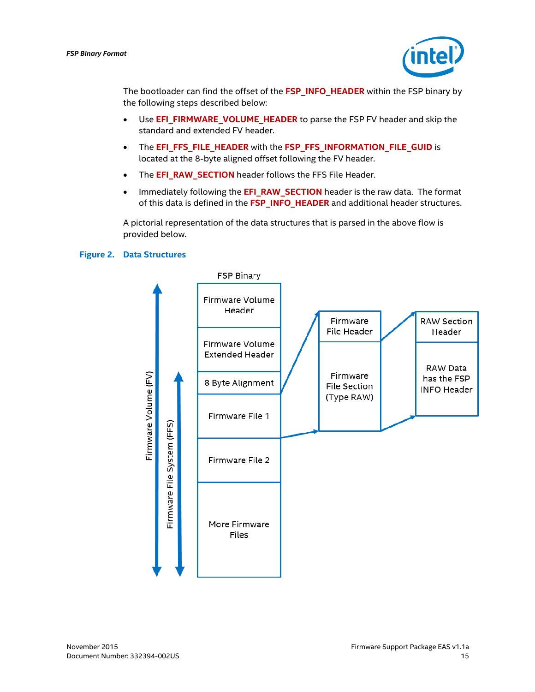

The bootloader can find the offset of the **FSP\_INFO\_HEADER** within the FSP binary by the following steps described below:

- Use **EFI\_FIRMWARE\_VOLUME\_HEADER** to parse the FSP FV header and skip the standard and extended FV header.
- The **EFI\_FFS\_FILE\_HEADER** with the FSP\_FFS\_INFORMATION\_FILE\_GUID is located at the 8-byte aligned offset following the FV header.
- **The EFI\_RAW\_SECTION** header follows the FFS File Header.
- Immediately following the **EFI\_RAW\_SECTION** header is the raw data. The format of this data is defined in the **FSP\_INFO\_HEADER** and additional header structures.

A pictorial representation of the data structures that is parsed in the above flow is provided below.

#### <span id="page-14-0"></span>**Figure 2. Data Structures**

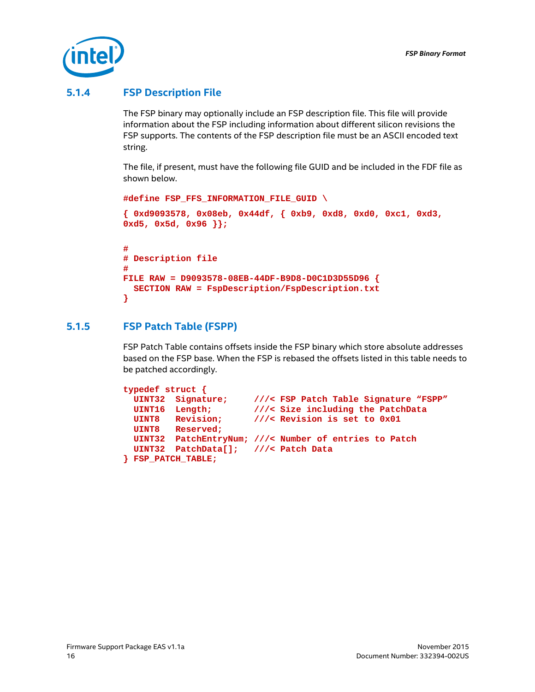

## **5.1.4 FSP Description File**

<span id="page-15-0"></span>The FSP binary may optionally include an FSP description file. This file will provide information about the FSP including information about different silicon revisions the FSP supports. The contents of the FSP description file must be an ASCII encoded text string.

The file, if present, must have the following file GUID and be included in the FDF file as shown below.

```
#define FSP_FFS_INFORMATION_FILE_GUID \
{ 0xd9093578, 0x08eb, 0x44df, { 0xb9, 0xd8, 0xd0, 0xc1, 0xd3, 
0xd5, 0x5d, 0x96 }};
#
# Description file
#
FILE RAW = D9093578-08EB-44DF-B9D8-D0C1D3D55D96 {
   SECTION RAW = FspDescription/FspDescription.txt
}
```
## **5.1.5 FSP Patch Table (FSPP)**

<span id="page-15-1"></span>FSP Patch Table contains offsets inside the FSP binary which store absolute addresses based on the FSP base. When the FSP is rebased the offsets listed in this table needs to be patched accordingly.

```
typedef struct {
  UINT32 Signature; ///< FSP Patch Table Signature "FSPP" 
                         UINT16 Length; ///< Size including the PatchData
  UINT8 Revision; ///< Revision is set to 0x01
  UINT8 Reserved; 
  UINT32 PatchEntryNum; ///< Number of entries to Patch
  UINT32 PatchData[]; ///< Patch Data
} FSP_PATCH_TABLE;
```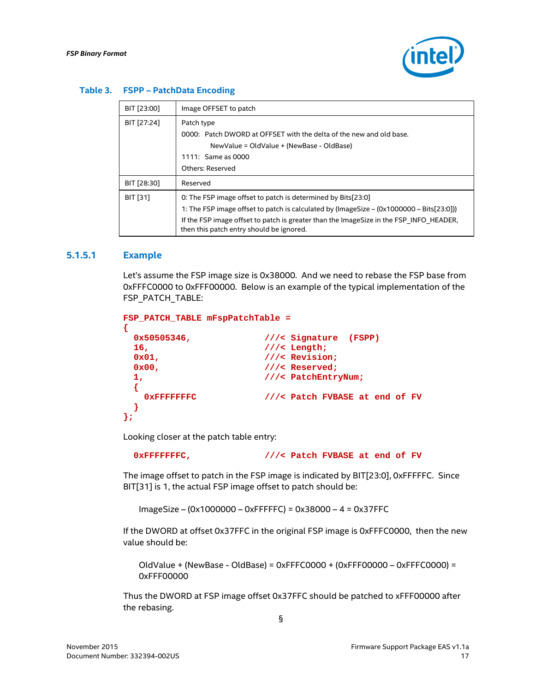

| BIT [23:00]     | Image OFFSET to patch                                                                                                                                                                                                                                                                             |
|-----------------|---------------------------------------------------------------------------------------------------------------------------------------------------------------------------------------------------------------------------------------------------------------------------------------------------|
| BIT [27:24]     | Patch type<br>0000: Patch DWORD at OFFSET with the delta of the new and old base.<br>NewValue = OldValue + (NewBase - OldBase)<br>1111: Same as 0000<br>Others: Reserved                                                                                                                          |
| BIT [28:30]     | Reserved                                                                                                                                                                                                                                                                                          |
| <b>BIT [31]</b> | 0: The FSP image offset to patch is determined by Bits[23:0]<br>1: The FSP image offset to patch is calculated by (ImageSize – $(0x1000000 - Bits[23:0])$ )<br>If the FSP image offset to patch is greater than the ImageSize in the FSP INFO HEADER,<br>then this patch entry should be ignored. |

#### <span id="page-16-1"></span>**Table 3. FSPP – PatchData Encoding**

#### **5.1.5.1 Example**

<span id="page-16-0"></span>Let's assume the FSP image size is 0x38000. And we need to rebase the FSP base from 0xFFFC0000 to 0xFFF00000. Below is an example of the typical implementation of the FSP\_PATCH\_TABLE:

```
FSP_PATCH_TABLE mFspPatchTable =
```

| 0x50505346,       | $//\leq$ Signature (FSPP)      |
|-------------------|--------------------------------|
| 16,               | $11/5$ Length;                 |
| 0x01.             | $11/2$ Revision;               |
| 0x00,             | $11/8$ Reserved;               |
| 1,                | ///< PatchEntryNum;            |
|                   |                                |
| <b>OXFFFFFFFC</b> | ///< Patch FVBASE at end of FV |
|                   |                                |
|                   |                                |
|                   |                                |

Looking closer at the patch table entry:

 **0xFFFFFFFC, ///< Patch FVBASE at end of FV**

The image offset to patch in the FSP image is indicated by BIT[23:0], 0xFFFFFC. Since BIT[31] is 1, the actual FSP image offset to patch should be:

ImageSize – (0x1000000 – 0xFFFFFC) = 0x38000 – 4 = 0x37FFC

If the DWORD at offset 0x37FFC in the original FSP image is 0xFFFC0000, then the new value should be:

OldValue + (NewBase - OldBase) = 0xFFFC0000 + (0xFFF00000 – 0xFFFC0000) = 0xFFF00000

Thus the DWORD at FSP image offset 0x37FFC should be patched to xFFF00000 after the rebasing.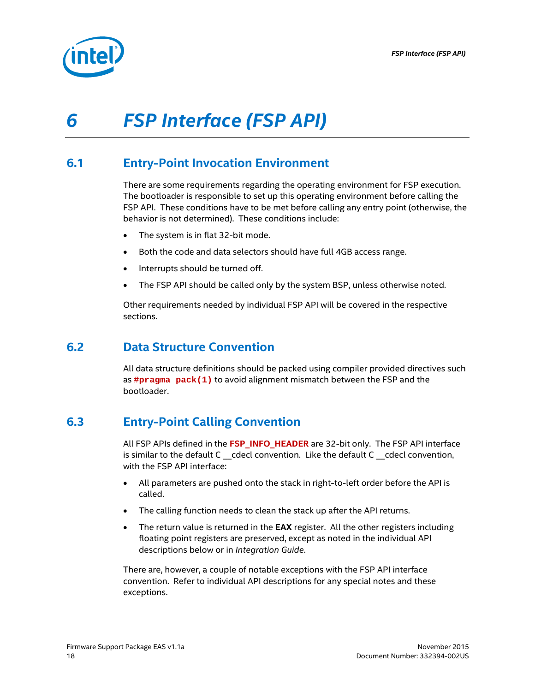

# <span id="page-17-0"></span>*6 FSP Interface (FSP API)*

## **6.1 Entry-Point Invocation Environment**

<span id="page-17-1"></span>There are some requirements regarding the operating environment for FSP execution. The bootloader is responsible to set up this operating environment before calling the FSP API. These conditions have to be met before calling any entry point (otherwise, the behavior is not determined). These conditions include:

- The system is in flat 32-bit mode.
- Both the code and data selectors should have full 4GB access range.
- Interrupts should be turned off.
- The FSP API should be called only by the system BSP, unless otherwise noted.

<span id="page-17-2"></span>Other requirements needed by individual FSP API will be covered in the respective sections.

## **6.2 Data Structure Convention**

<span id="page-17-3"></span>All data structure definitions should be packed using compiler provided directives such as **#pragma pack(1)** to avoid alignment mismatch between the FSP and the bootloader.

## **6.3 Entry-Point Calling Convention**

All FSP APIs defined in the **FSP\_INFO\_HEADER** are 32-bit only. The FSP API interface is similar to the default  $C$  \_cdecl convention. Like the default  $C$  \_cdecl convention, with the FSP API interface:

- All parameters are pushed onto the stack in right-to-left order before the API is called.
- The calling function needs to clean the stack up after the API returns.
- The return value is returned in the **EAX** register. All the other registers including floating point registers are preserved, except as noted in the individual API descriptions below or in *Integration Guide*.

There are, however, a couple of notable exceptions with the FSP API interface convention. Refer to individual API descriptions for any special notes and these exceptions.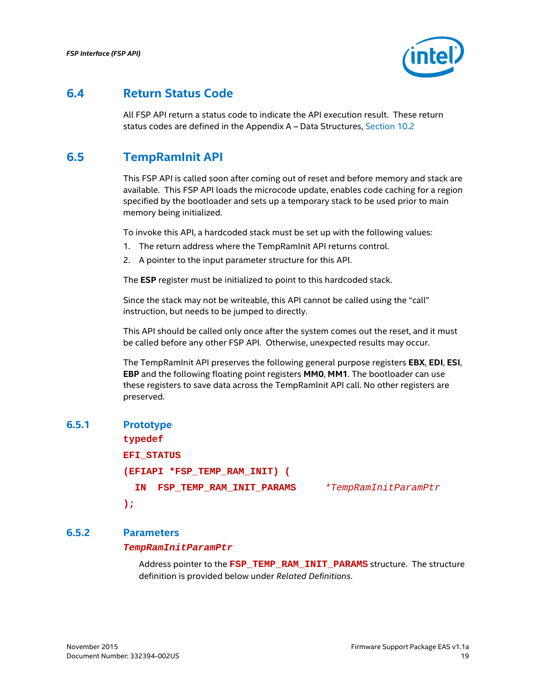

## **6.4 Return Status Code**

<span id="page-18-1"></span><span id="page-18-0"></span>All FSP API return a status code to indicate the API execution result. These return status codes are defined in the Appendix A – [Data Structures,](#page-38-0) [Section 10.2](#page-39-0)

## **6.5 TempRamInit API**

This FSP API is called soon after coming out of reset and before memory and stack are available. This FSP API loads the microcode update, enables code caching for a region specified by the bootloader and sets up a temporary stack to be used prior to main memory being initialized.

To invoke this API, a hardcoded stack must be set up with the following values:

- 1. The return address where the TempRamInit API returns control.
- 2. A pointer to the input parameter structure for this API.

The **ESP** register must be initialized to point to this hardcoded stack.

Since the stack may not be writeable, this API cannot be called using the "call" instruction, but needs to be jumped to directly.

This API should be called only once after the system comes out the reset, and it must be called before any other FSP API. Otherwise, unexpected results may occur.

The TempRamInit API preserves the following general purpose registers **EBX**, **EDI**, **ESI**, **EBP** and the following floating point registers **MM0**, **MM1**. The bootloader can use these registers to save data across the TempRamInit API call. No other registers are preserved.

#### **6.5.1 Prototype**

<span id="page-18-2"></span>**typedef** 

**EFI\_STATUS**

**(EFIAPI \*FSP\_TEMP\_RAM\_INIT) ( IN FSP\_TEMP\_RAM\_INIT\_PARAMS** *\*TempRamInitParamPtr*

<span id="page-18-3"></span>**);**

#### **6.5.2 Parameters**

*TempRamInitParamPtr*

Address pointer to the FSP\_TEMP\_RAM\_INIT\_PARAMS structure. The structure definition is provided below under *Related Definitions*.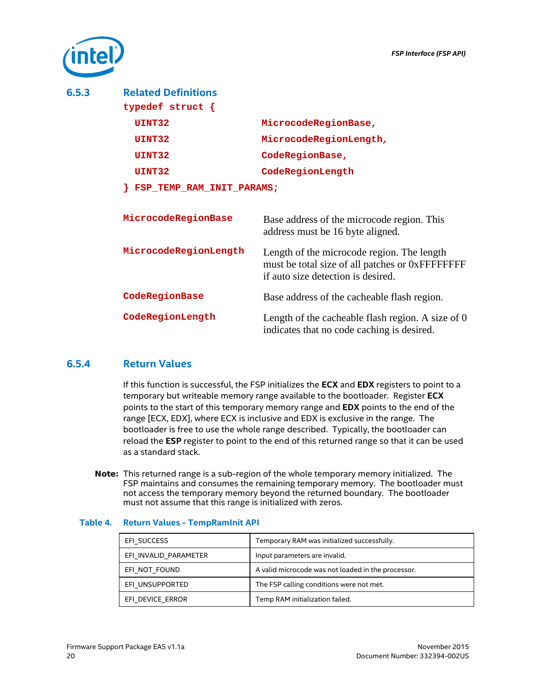

<span id="page-19-0"></span>

| 6.5.3 | <b>Related Definitions</b><br>typedef struct $\{$ |                                                                                                                                     |
|-------|---------------------------------------------------|-------------------------------------------------------------------------------------------------------------------------------------|
|       | UINT32                                            | MicrocodeRegionBase,                                                                                                                |
|       | UINT32                                            | MicrocodeRegionLength,                                                                                                              |
|       | UINT32                                            | CodeRegionBase,                                                                                                                     |
|       | UINT32                                            | CodeRegionLength                                                                                                                    |
|       | $\}$ FSP_TEMP_RAM_INIT_PARAMS;                    |                                                                                                                                     |
|       | MicrocodeRegionBase                               | Base address of the microcode region. This<br>address must be 16 byte aligned.                                                      |
|       | MicrocodeRegionLength                             | Length of the microcode region. The length<br>must be total size of all patches or 0xFFFFFFFF<br>if auto size detection is desired. |
|       | CodeRegionBase                                    | Base address of the cacheable flash region.                                                                                         |
|       | CodeRegionLength                                  | Length of the cacheable flash region. A size of $0$<br>indicates that no code caching is desired.                                   |
|       |                                                   |                                                                                                                                     |

### **6.5.4 Return Values**

<span id="page-19-1"></span>If this function is successful, the FSP initializes the **ECX** and **EDX** registers to point to a temporary but writeable memory range available to the bootloader. Register **ECX** points to the start of this temporary memory range and **EDX** points to the end of the range [ECX, EDX], where ECX is inclusive and EDX is exclusive in the range. The bootloader is free to use the whole range described. Typically, the bootloader can reload the **ESP** register to point to the end of this returned range so that it can be used as a standard stack.

*Note:* This returned range is a sub-region of the whole temporary memory initialized. The FSP maintains and consumes the remaining temporary memory. The bootloader must not access the temporary memory beyond the returned boundary. The bootloader must not assume that this range is initialized with zeros.

| EFI SUCCESS           | Temporary RAM was initialized successfully.        |
|-----------------------|----------------------------------------------------|
| EFI INVALID PARAMETER | Input parameters are invalid.                      |
| EFI NOT FOUND         | A valid microcode was not loaded in the processor. |
| EFI UNSUPPORTED       | The FSP calling conditions were not met.           |
| EFI DEVICE ERROR      | Temp RAM initialization failed.                    |

#### <span id="page-19-2"></span>**Table 4. Return Values - TempRamInit API**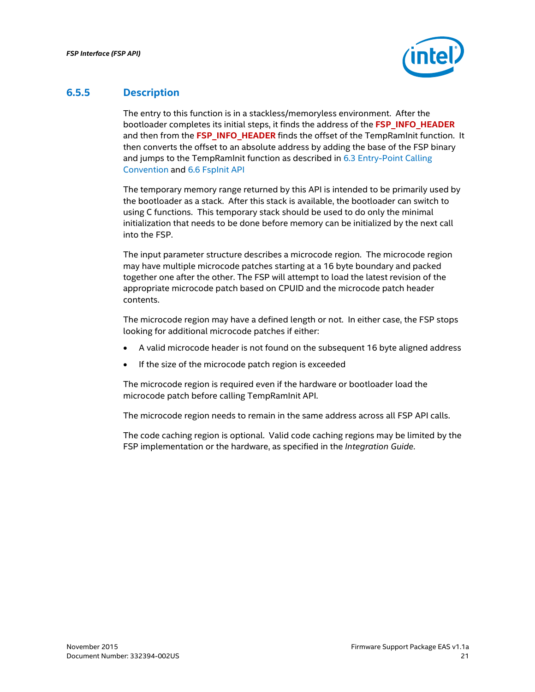

#### **6.5.5 Description**

<span id="page-20-0"></span>The entry to this function is in a stackless/memoryless environment. After the bootloader completes its initial steps, it finds the address of the **FSP\_INFO\_HEADER** and then from the **FSP\_INFO\_HEADER** finds the offset of the TempRamInit function. It then converts the offset to an absolute address by adding the base of the FSP binary and jumps to the TempRamInit function as described in [6.3](#page-17-3) Entry-Point Calling Convention and [6.6](#page-21-0) [FspInit API](#page-21-0)

The temporary memory range returned by this API is intended to be primarily used by the bootloader as a stack. After this stack is available, the bootloader can switch to using C functions. This temporary stack should be used to do only the minimal initialization that needs to be done before memory can be initialized by the next call into the FSP.

The input parameter structure describes a microcode region. The microcode region may have multiple microcode patches starting at a 16 byte boundary and packed together one after the other. The FSP will attempt to load the latest revision of the appropriate microcode patch based on CPUID and the microcode patch header contents.

The microcode region may have a defined length or not. In either case, the FSP stops looking for additional microcode patches if either:

- A valid microcode header is not found on the subsequent 16 byte aligned address
- If the size of the microcode patch region is exceeded

The microcode region is required even if the hardware or bootloader load the microcode patch before calling TempRamInit API.

The microcode region needs to remain in the same address across all FSP API calls.

The code caching region is optional. Valid code caching regions may be limited by the FSP implementation or the hardware, as specified in the *Integration Guide*.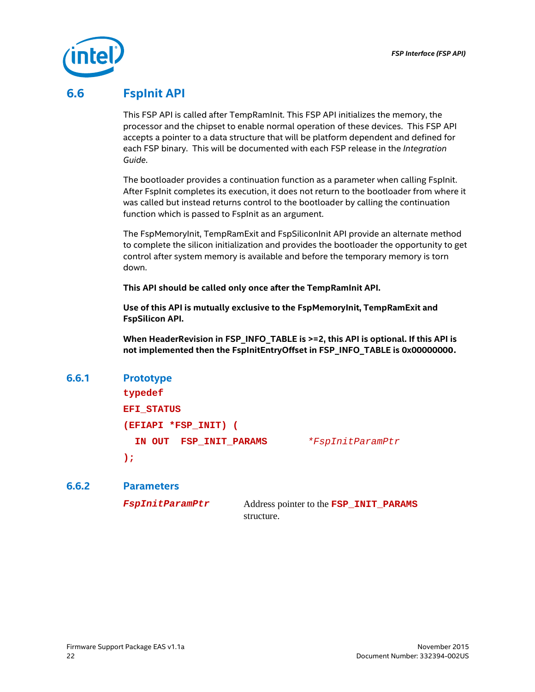

## **6.6 FspInit API**

<span id="page-21-0"></span>This FSP API is called after TempRamInit. This FSP API initializes the memory, the processor and the chipset to enable normal operation of these devices. This FSP API accepts a pointer to a data structure that will be platform dependent and defined for each FSP binary. This will be documented with each FSP release in the *Integration Guide*.

The bootloader provides a continuation function as a parameter when calling FspInit. After FspInit completes its execution, it does not return to the bootloader from where it was called but instead returns control to the bootloader by calling the continuation function which is passed to FspInit as an argument.

The FspMemoryInit, TempRamExit and FspSiliconInit API provide an alternate method to complete the silicon initialization and provides the bootloader the opportunity to get control after system memory is available and before the temporary memory is torn down.

**This API should be called only once after the TempRamInit API.**

**Use of this API is mutually exclusive to the FspMemoryInit, TempRamExit and FspSilicon API.**

<span id="page-21-1"></span>**When HeaderRevision in FSP\_INFO\_TABLE is >=2, this API is optional. If this API is not implemented then the FspInitEntryOffset in FSP\_INFO\_TABLE is 0x00000000.**

| 6.6.1 | <b>Prototype</b> |
|-------|------------------|
|       |                  |

```
typedef 
EFI_STATUS
(EFIAPI *FSP_INIT) (
  IN OUT FSP_INIT_PARAMS *FspInitParamPtr
);
```
#### **6.6.2 Parameters**

<span id="page-21-2"></span>*FspInitParamPtr* Address pointer to the **FSP\_INIT\_PARAMS** structure.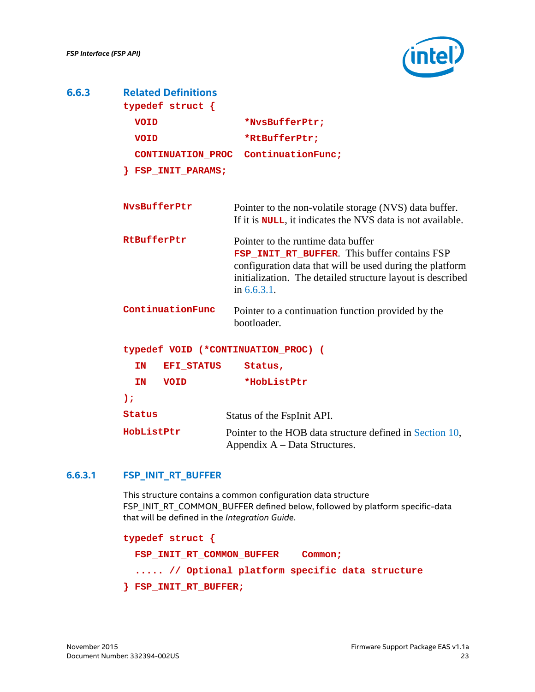

<span id="page-22-0"></span>

| 6.6.3 | <b>Related Definitions</b><br>typedef struct $\{$ |                                                                                                                                                                                                                                |  |  |
|-------|---------------------------------------------------|--------------------------------------------------------------------------------------------------------------------------------------------------------------------------------------------------------------------------------|--|--|
|       | <b>VOID</b>                                       | *NvsBufferPtr;                                                                                                                                                                                                                 |  |  |
|       | <b>VOID</b>                                       | *RtBufferPtr;                                                                                                                                                                                                                  |  |  |
|       | CONTINUATION_PROC                                 | ContinuationFunc;                                                                                                                                                                                                              |  |  |
|       |                                                   | FSP INIT PARAMS;                                                                                                                                                                                                               |  |  |
|       | NvsBufferPtr                                      | Pointer to the non-volatile storage (NVS) data buffer.<br>If it is <b>NULL</b> , it indicates the NVS data is not available.                                                                                                   |  |  |
|       | RtBufferPtr                                       | Pointer to the runtime data buffer<br>FSP_INIT_RT_BUFFER. This buffer contains FSP<br>configuration data that will be used during the platform<br>initialization. The detailed structure layout is described<br>in $6.6.3.1$ . |  |  |
|       | ContinuationFunc                                  | Pointer to a continuation function provided by the<br>bootloader.                                                                                                                                                              |  |  |
|       |                                                   | typedef VOID (*CONTINUATION_PROC) (                                                                                                                                                                                            |  |  |
|       | IN<br>EFI_STATUS                                  | Status,                                                                                                                                                                                                                        |  |  |
|       | <b>VOID</b><br>IN                                 | *HobListPtr                                                                                                                                                                                                                    |  |  |
|       | $)$ ;                                             |                                                                                                                                                                                                                                |  |  |
|       | <b>Status</b>                                     | Status of the FspInit API.                                                                                                                                                                                                     |  |  |
|       | HobListPtr                                        | Pointer to the HOB data structure defined in Section 10,                                                                                                                                                                       |  |  |

#### **6.6.3.1 FSP\_INIT\_RT\_BUFFER**

<span id="page-22-1"></span>This structure contains a common configuration data structure FSP\_INIT\_RT\_COMMON\_BUFFER defined below, followed by platform specific-data that will be defined in the *Integration Guide*.

Appendix A – Data Structures.

```
typedef struct {
  FSP_INIT_RT_COMMON_BUFFER Common;
   ..... // Optional platform specific data structure
} FSP_INIT_RT_BUFFER;
```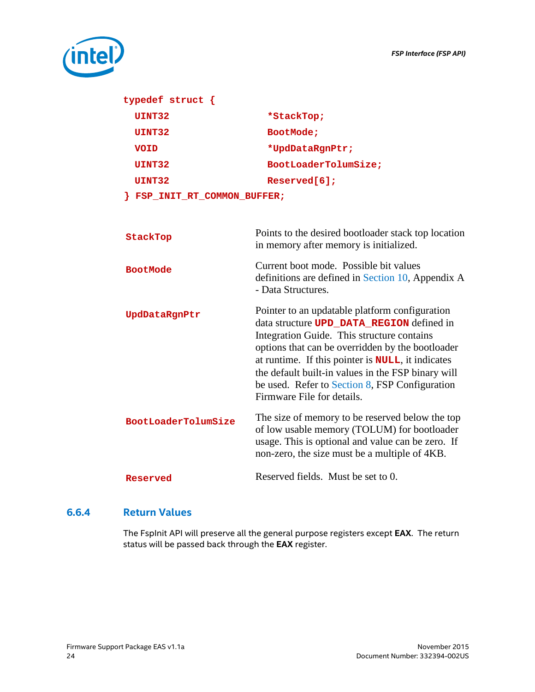

# **typedef struct {** UINT32 \*StackTop;  **UINT32 BootMode; VOID \*UpdDataRgnPtr; UINT32 BootLoaderTolumSize; UINT32 Reserved[6]; } FSP\_INIT\_RT\_COMMON\_BUFFER;**

| StackTop            | Points to the desired bootloader stack top location<br>in memory after memory is initialized.                                                                                                                                                                                                                                                                                                      |
|---------------------|----------------------------------------------------------------------------------------------------------------------------------------------------------------------------------------------------------------------------------------------------------------------------------------------------------------------------------------------------------------------------------------------------|
| <b>BootMode</b>     | Current boot mode. Possible bit values<br>definitions are defined in Section 10, Appendix A<br>- Data Structures.                                                                                                                                                                                                                                                                                  |
| UpdDataRgnPtr       | Pointer to an updatable platform configuration<br>data structure <b>UPD_DATA_REGION</b> defined in<br>Integration Guide. This structure contains<br>options that can be overridden by the bootloader<br>at runtime. If this pointer is $NULL$ , it indicates<br>the default built-in values in the FSP binary will<br>be used. Refer to Section 8, FSP Configuration<br>Firmware File for details. |
| BootLoaderTolumSize | The size of memory to be reserved below the top<br>of low usable memory (TOLUM) for bootloader<br>usage. This is optional and value can be zero. If<br>non-zero, the size must be a multiple of 4KB.                                                                                                                                                                                               |
| Reserved            | Reserved fields. Must be set to 0.                                                                                                                                                                                                                                                                                                                                                                 |

## **6.6.4 Return Values**

<span id="page-23-0"></span>The FspInit API will preserve all the general purpose registers except **EAX**. The return status will be passed back through the **EAX** register.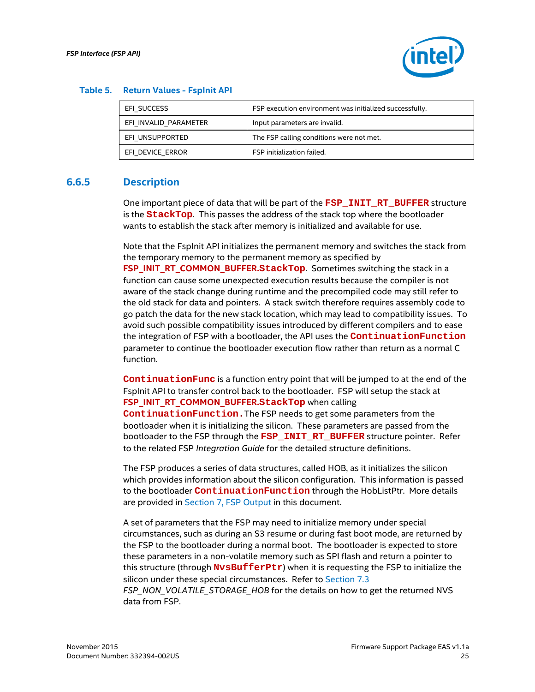

#### <span id="page-24-1"></span>**Table 5. Return Values - FspInit API**

| EFI SUCCESS           | FSP execution environment was initialized successfully. |
|-----------------------|---------------------------------------------------------|
| EFI INVALID PARAMETER | Input parameters are invalid.                           |
| EFI UNSUPPORTED       | The FSP calling conditions were not met.                |
| EFI DEVICE ERROR      | FSP initialization failed.                              |

#### **6.6.5 Description**

<span id="page-24-0"></span>One important piece of data that will be part of the **FSP\_INIT\_RT\_BUFFER** structure is the **StackTop**. This passes the address of the stack top where the bootloader wants to establish the stack after memory is initialized and available for use.

Note that the FspInit API initializes the permanent memory and switches the stack from the temporary memory to the permanent memory as specified by

FSP\_INIT\_RT\_COMMON\_BUFFER.StackTop. Sometimes switching the stack in a function can cause some unexpected execution results because the compiler is not aware of the stack change during runtime and the precompiled code may still refer to the old stack for data and pointers. A stack switch therefore requires assembly code to go patch the data for the new stack location, which may lead to compatibility issues. To avoid such possible compatibility issues introduced by different compilers and to ease the integration of FSP with a bootloader, the API uses the **ContinuationFunction** parameter to continue the bootloader execution flow rather than return as a normal C function.

**ContinuationFunc** is a function entry point that will be jumped to at the end of the FspInit API to transfer control back to the bootloader. FSP will setup the stack at **FSP\_INIT\_RT\_COMMON\_BUFFER.StackTop** when calling

**ContinuationFunction.**The FSP needs to get some parameters from the bootloader when it is initializing the silicon. These parameters are passed from the bootloader to the FSP through the **FSP\_INIT\_RT\_BUFFER** structure pointer. Refer to the related FSP *Integration Guide* for the detailed structure definitions.

The FSP produces a series of data structures, called HOB, as it initializes the silicon which provides information about the silicon configuration. This information is passed to the bootloader **ContinuationFunction** through the HobListPtr. More details are provided i[n Section 7, FSP Output](#page-32-0) in this document.

A set of parameters that the FSP may need to initialize memory under special circumstances, such as during an S3 resume or during fast boot mode, are returned by the FSP to the bootloader during a normal boot. The bootloader is expected to store these parameters in a non-volatile memory such as SPI flash and return a pointer to this structure (through **NvsBufferPtr**) when it is requesting the FSP to initialize the silicon under these special circumstances. Refer to [Section 7.3](#page-33-1)

FSP\_NON\_VOLATILE\_STORAGE\_HOB for the details on how to get the returned NVS\_ data from FSP.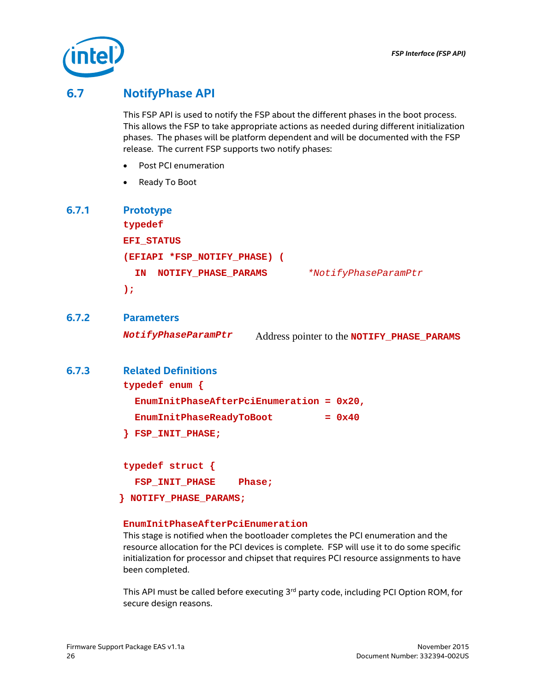

# **6.7 NotifyPhase API**

<span id="page-25-0"></span>This FSP API is used to notify the FSP about the different phases in the boot process. This allows the FSP to take appropriate actions as needed during different initialization phases. The phases will be platform dependent and will be documented with the FSP release. The current FSP supports two notify phases:

- Post PCI enumeration
- <span id="page-25-1"></span>• Ready To Boot

#### **6.7.1 Prototype**

**typedef EFI\_STATUS (EFIAPI \*FSP\_NOTIFY\_PHASE) ( IN NOTIFY\_PHASE\_PARAMS** *\*NotifyPhaseParamPtr* **);**

#### **6.7.2 Parameters**

<span id="page-25-2"></span>

<span id="page-25-3"></span>*NotifyPhaseParamPtr* Address pointer to the **NOTIFY\_PHASE\_PARAMS**

### **6.7.3 Related Definitions**

**typedef enum { EnumInitPhaseAfterPciEnumeration = 0x20,** EnumInitPhaseReadyToBoot = 0x40 **} FSP\_INIT\_PHASE;**

**typedef struct {** FSP INIT PHASE Phase;

 **} NOTIFY\_PHASE\_PARAMS;**

#### **EnumInitPhaseAfterPciEnumeration**

This stage is notified when the bootloader completes the PCI enumeration and the resource allocation for the PCI devices is complete. FSP will use it to do some specific initialization for processor and chipset that requires PCI resource assignments to have been completed.

This API must be called before executing  $3<sup>rd</sup>$  party code, including PCI Option ROM, for secure design reasons.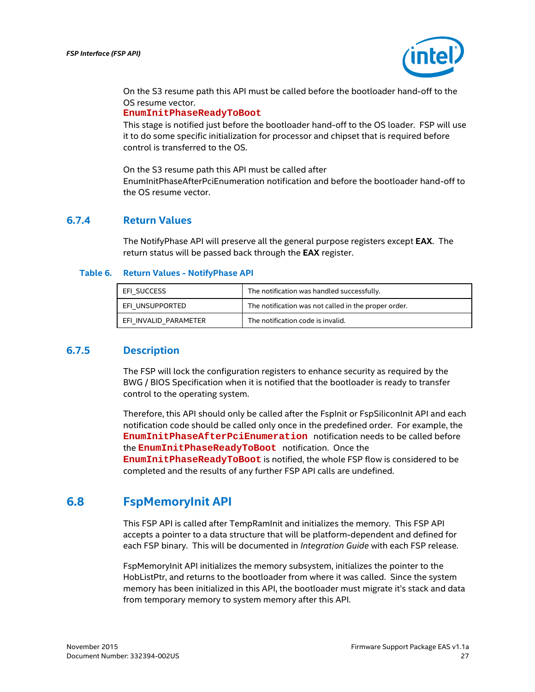

On the S3 resume path this API must be called before the bootloader hand-off to the OS resume vector.

**EnumInitPhaseReadyToBoot**

This stage is notified just before the bootloader hand-off to the OS loader. FSP will use it to do some specific initialization for processor and chipset that is required before control is transferred to the OS.

<span id="page-26-0"></span>On the S3 resume path this API must be called after EnumInitPhaseAfterPciEnumeration notification and before the bootloader hand-off to the OS resume vector.

#### **6.7.4 Return Values**

The NotifyPhase API will preserve all the general purpose registers except **EAX**. The return status will be passed back through the **EAX** register.

#### <span id="page-26-3"></span>**Table 6. Return Values - NotifyPhase API**

| EFI SUCCESS           | The notification was handled successfully.           |
|-----------------------|------------------------------------------------------|
| EFI UNSUPPORTED       | The notification was not called in the proper order. |
| EFI INVALID PARAMETER | The notification code is invalid.                    |

#### **6.7.5 Description**

<span id="page-26-1"></span>The FSP will lock the configuration registers to enhance security as required by the BWG / BIOS Specification when it is notified that the bootloader is ready to transfer control to the operating system.

Therefore, this API should only be called after the FspInit or FspSiliconInit API and each notification code should be called only once in the predefined order. For example, the **EnumInitPhaseAfterPciEnumeration** notification needs to be called before the **EnumInitPhaseReadyToBoot** notification. Once the **EnumInitPhaseReadyToBoot** is notified, the whole FSP flow is considered to be completed and the results of any further FSP API calls are undefined.

## **6.8 FspMemoryInit API**

<span id="page-26-2"></span>This FSP API is called after TempRamInit and initializes the memory. This FSP API accepts a pointer to a data structure that will be platform-dependent and defined for each FSP binary. This will be documented in *Integration Guide* with each FSP release.

FspMemoryInit API initializes the memory subsystem, initializes the pointer to the HobListPtr, and returns to the bootloader from where it was called. Since the system memory has been initialized in this API, the bootloader must migrate it's stack and data from temporary memory to system memory after this API.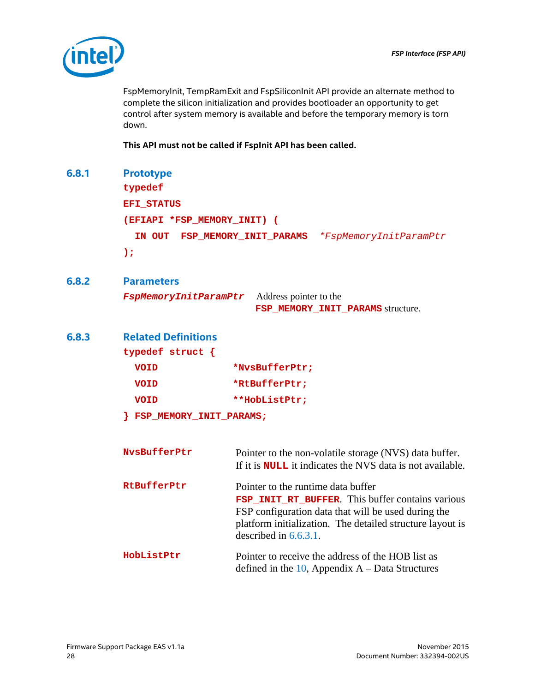

FspMemoryInit, TempRamExit and FspSiliconInit API provide an alternate method to complete the silicon initialization and provides bootloader an opportunity to get control after system memory is available and before the temporary memory is torn down.

<span id="page-27-0"></span>**This API must not be called if FspInit API has been called.**

<span id="page-27-2"></span><span id="page-27-1"></span>

| 6.8.1 | <b>Prototype</b><br>typedef<br>EFI_STATUS<br>(EFIAPI *FSP_MEMORY_INIT) (<br>IN OUT<br>$)$ ; | FSP_MEMORY_INIT_PARAMS *FspMemoryInitParamPtr                                                                                                                                                                                          |  |
|-------|---------------------------------------------------------------------------------------------|----------------------------------------------------------------------------------------------------------------------------------------------------------------------------------------------------------------------------------------|--|
| 6.8.2 | <b>Parameters</b>                                                                           |                                                                                                                                                                                                                                        |  |
|       |                                                                                             | FspMemoryInitParamPtr Address pointer to the<br>FSP_MEMORY_INIT_PARAMS structure.                                                                                                                                                      |  |
| 6.8.3 | <b>Related Definitions</b>                                                                  |                                                                                                                                                                                                                                        |  |
|       | typedef struct $\{$                                                                         |                                                                                                                                                                                                                                        |  |
|       | <b>VOID</b>                                                                                 | *NvsBufferPtr;                                                                                                                                                                                                                         |  |
|       | <b>VOID</b>                                                                                 | *RtBufferPtr;                                                                                                                                                                                                                          |  |
|       | <b>VOID</b>                                                                                 | **HobListPtr;                                                                                                                                                                                                                          |  |
|       | FSP_MEMORY_INIT_PARAMS;                                                                     |                                                                                                                                                                                                                                        |  |
|       | NvsBufferPtr                                                                                | Pointer to the non-volatile storage (NVS) data buffer.<br>If it is <b>NULL</b> it indicates the NVS data is not available.                                                                                                             |  |
|       | RtBufferPtr                                                                                 | Pointer to the runtime data buffer<br>FSP_INIT_RT_BUFFER. This buffer contains various<br>FSP configuration data that will be used during the<br>platform initialization. The detailed structure layout is<br>described in $6.6.3.1$ . |  |
|       | HobListPtr                                                                                  | Pointer to receive the address of the HOB list as<br>defined in the $10$ , Appendix A – Data Structures                                                                                                                                |  |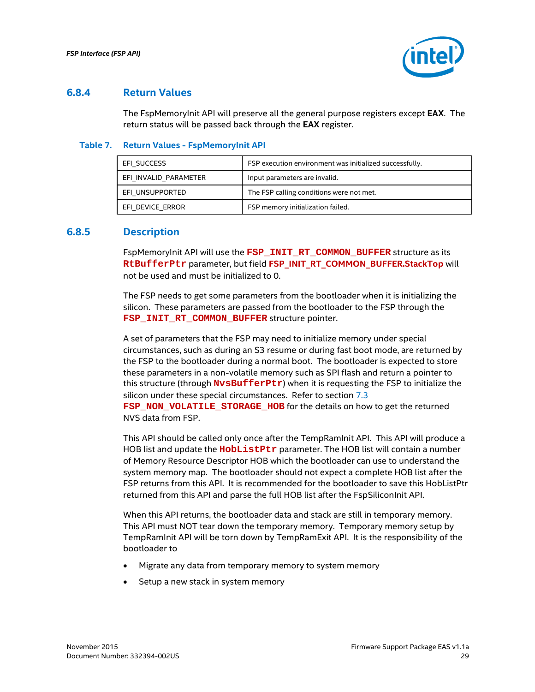

#### **6.8.4 Return Values**

<span id="page-28-0"></span>The FspMemoryInit API will preserve all the general purpose registers except **EAX**. The return status will be passed back through the **EAX** register.

#### <span id="page-28-2"></span>**Table 7. Return Values - FspMemoryInit API**

| EFI SUCCESS           | FSP execution environment was initialized successfully. |
|-----------------------|---------------------------------------------------------|
| EFI INVALID PARAMETER | Input parameters are invalid.                           |
| EFI UNSUPPORTED       | The FSP calling conditions were not met.                |
| EFI DEVICE ERROR      | FSP memory initialization failed.                       |

#### **6.8.5 Description**

<span id="page-28-1"></span>FspMemoryInit API will use the **FSP\_INIT\_RT\_COMMON\_BUFFER** structure as its **RtBufferPtr** parameter, but field **FSP\_INIT\_RT\_COMMON\_BUFFER.StackTop** will not be used and must be initialized to 0.

The FSP needs to get some parameters from the bootloader when it is initializing the silicon. These parameters are passed from the bootloader to the FSP through the **FSP\_INIT\_RT\_COMMON\_BUFFER** structure pointer.

A set of parameters that the FSP may need to initialize memory under special circumstances, such as during an S3 resume or during fast boot mode, are returned by the FSP to the bootloader during a normal boot. The bootloader is expected to store these parameters in a non-volatile memory such as SPI flash and return a pointer to this structure (through **NvsBufferPtr**) when it is requesting the FSP to initialize the silicon under these special circumstances. Refer to section [7.3](#page-33-1) **[FSP\\_NON\\_VOLATILE\\_STORAGE\\_HOB](#page-33-1)** for the details on how to get the returned NVS data from FSP.

This API should be called only once after the TempRamInit API. This API will produce a HOB list and update the **HobListPtr** parameter. The HOB list will contain a number of Memory Resource Descriptor HOB which the bootloader can use to understand the system memory map. The bootloader should not expect a complete HOB list after the FSP returns from this API. It is recommended for the bootloader to save this HobListPtr returned from this API and parse the full HOB list after the FspSiliconInit API.

When this API returns, the bootloader data and stack are still in temporary memory. This API must NOT tear down the temporary memory. Temporary memory setup by TempRamInit API will be torn down by TempRamExit API. It is the responsibility of the bootloader to

- Migrate any data from temporary memory to system memory
- Setup a new stack in system memory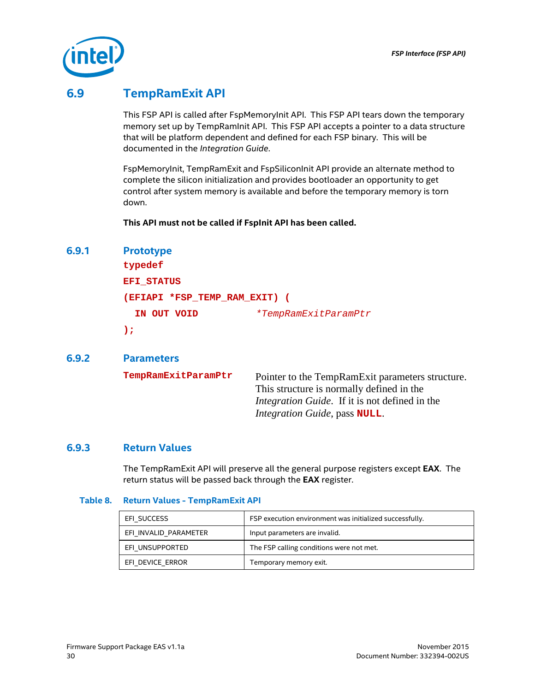

# **6.9 TempRamExit API**

<span id="page-29-0"></span>This FSP API is called after FspMemoryInit API. This FSP API tears down the temporary memory set up by TempRamInit API. This FSP API accepts a pointer to a data structure that will be platform dependent and defined for each FSP binary. This will be documented in the *Integration Guide*.

FspMemoryInit, TempRamExit and FspSiliconInit API provide an alternate method to complete the silicon initialization and provides bootloader an opportunity to get control after system memory is available and before the temporary memory is torn down.

<span id="page-29-1"></span>**This API must not be called if FspInit API has been called.**

**6.9.1 Prototype**

**typedef EFI\_STATUS (EFIAPI \*FSP\_TEMP\_RAM\_EXIT) ( IN OUT VOID** *\*TempRamExitParamPtr* **);**

#### **6.9.2 Parameters**

<span id="page-29-2"></span>

**TempRamExitParamPtr** Pointer to the TempRamExit parameters structure. This structure is normally defined in the *Integration Guide*. If it is not defined in the *Integration Guide*, pass **NULL**.

### **6.9.3 Return Values**

<span id="page-29-3"></span>The TempRamExit API will preserve all the general purpose registers except **EAX**. The return status will be passed back through the **EAX** register.

#### <span id="page-29-4"></span>**Table 8. Return Values - TempRamExit API**

| EFI SUCCESS           | FSP execution environment was initialized successfully. |
|-----------------------|---------------------------------------------------------|
| EFI INVALID PARAMETER | Input parameters are invalid.                           |
| EFI UNSUPPORTED       | The FSP calling conditions were not met.                |
| EFI DEVICE ERROR      | Temporary memory exit.                                  |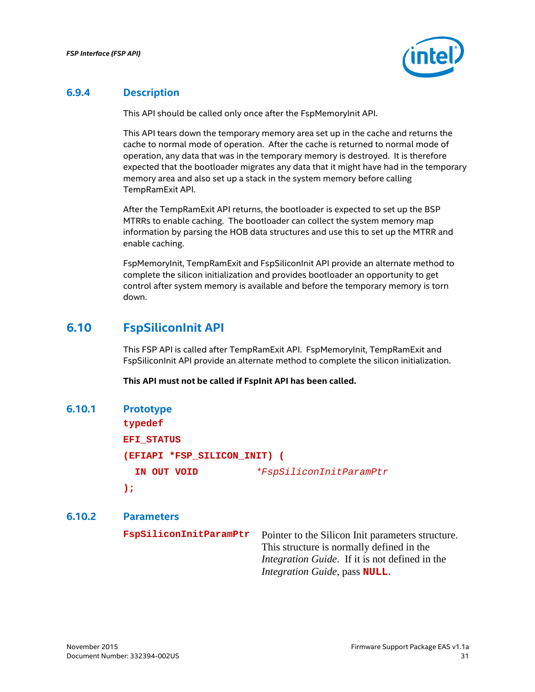

#### **6.9.4 Description**

<span id="page-30-0"></span>This API should be called only once after the FspMemoryInit API.

This API tears down the temporary memory area set up in the cache and returns the cache to normal mode of operation. After the cache is returned to normal mode of operation, any data that was in the temporary memory is destroyed. It is therefore expected that the bootloader migrates any data that it might have had in the temporary memory area and also set up a stack in the system memory before calling TempRamExit API.

After the TempRamExit API returns, the bootloader is expected to set up the BSP MTRRs to enable caching. The bootloader can collect the system memory map information by parsing the HOB data structures and use this to set up the MTRR and enable caching.

<span id="page-30-1"></span>FspMemoryInit, TempRamExit and FspSiliconInit API provide an alternate method to complete the silicon initialization and provides bootloader an opportunity to get control after system memory is available and before the temporary memory is torn down.

## **6.10 FspSiliconInit API**

This FSP API is called after TempRamExit API. FspMemoryInit, TempRamExit and FspSiliconInit API provide an alternate method to complete the silicon initialization.

<span id="page-30-2"></span>**This API must not be called if FspInit API has been called.**

<span id="page-30-3"></span>**6.10.1 Prototype typedef EFI\_STATUS (EFIAPI \*FSP\_SILICON\_INIT) ( IN OUT VOID** *\*FspSiliconInitParamPtr* **); 6.10.2 Parameters FspSiliconInitParamPtr** Pointer to the Silicon Init parameters structure.

This structure is normally defined in the *Integration Guide*. If it is not defined in the *Integration Guide*, pass **NULL**.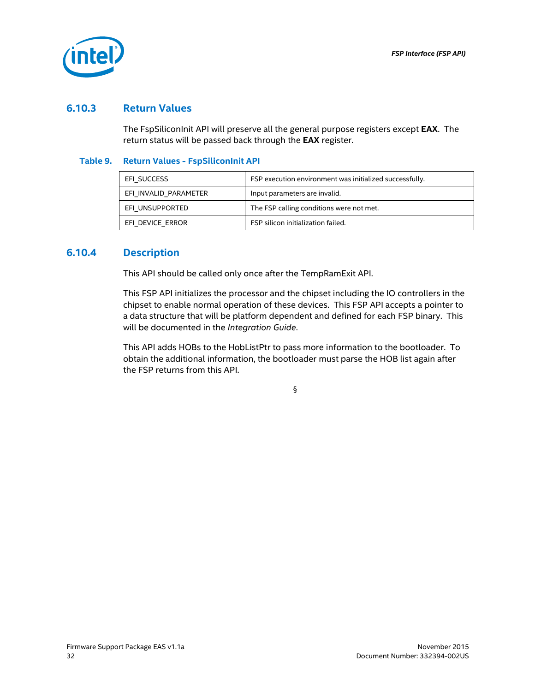

### **6.10.3 Return Values**

<span id="page-31-0"></span>The FspSiliconInit API will preserve all the general purpose registers except **EAX**. The return status will be passed back through the **EAX** register.

#### <span id="page-31-2"></span>**Table 9. Return Values - FspSiliconInit API**

| EFI SUCCESS           | FSP execution environment was initialized successfully. |
|-----------------------|---------------------------------------------------------|
| EFI INVALID PARAMETER | Input parameters are invalid.                           |
| EFI UNSUPPORTED       | The FSP calling conditions were not met.                |
| EFI DEVICE ERROR      | FSP silicon initialization failed.                      |

#### **6.10.4 Description**

<span id="page-31-1"></span>This API should be called only once after the TempRamExit API.

This FSP API initializes the processor and the chipset including the IO controllers in the chipset to enable normal operation of these devices. This FSP API accepts a pointer to a data structure that will be platform dependent and defined for each FSP binary. This will be documented in the *Integration Guide*.

This API adds HOBs to the HobListPtr to pass more information to the bootloader. To obtain the additional information, the bootloader must parse the HOB list again after the FSP returns from this API.

§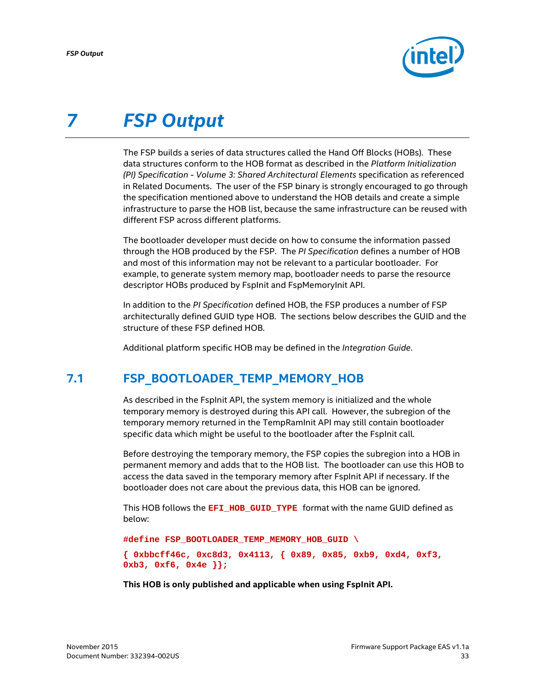

# <span id="page-32-0"></span>*7 FSP Output*

The FSP builds a series of data structures called the Hand Off Blocks (HOBs). These data structures conform to the HOB format as described in the *Platform Initialization (PI) Specification - Volume 3: Shared Architectural Elements* specification as referenced in [Related Documents.](#page-6-3) The user of the FSP binary is strongly encouraged to go through the specification mentioned above to understand the HOB details and create a simple infrastructure to parse the HOB list, because the same infrastructure can be reused with different FSP across different platforms.

The bootloader developer must decide on how to consume the information passed through the HOB produced by the FSP. The *PI Specification* defines a number of HOB and most of this information may not be relevant to a particular bootloader. For example, to generate system memory map, bootloader needs to parse the resource descriptor HOBs produced by FspInit and FspMemoryInit API.

In addition to the *PI Specification* defined HOB, the FSP produces a number of FSP architecturally defined GUID type HOB. The sections below describes the GUID and the structure of these FSP defined HOB.

<span id="page-32-1"></span>Additional platform specific HOB may be defined in the *Integration Guide*.

# **7.1 FSP\_BOOTLOADER\_TEMP\_MEMORY\_HOB**

As described in the FspInit API, the system memory is initialized and the whole temporary memory is destroyed during this API call. However, the subregion of the temporary memory returned in the TempRamInit API may still contain bootloader specific data which might be useful to the bootloader after the FspInit call.

Before destroying the temporary memory, the FSP copies the subregion into a HOB in permanent memory and adds that to the HOB list. The bootloader can use this HOB to access the data saved in the temporary memory after FspInit API if necessary. If the bootloader does not care about the previous data, this HOB can be ignored.

This HOB follows the **EFI\_HOB\_GUID\_TYPE** format with the name GUID defined as below:

**#define FSP\_BOOTLOADER\_TEMP\_MEMORY\_HOB\_GUID \**

**{ 0xbbcff46c, 0xc8d3, 0x4113, { 0x89, 0x85, 0xb9, 0xd4, 0xf3, 0xb3, 0xf6, 0x4e }};**

**This HOB is only published and applicable when using FspInit API.**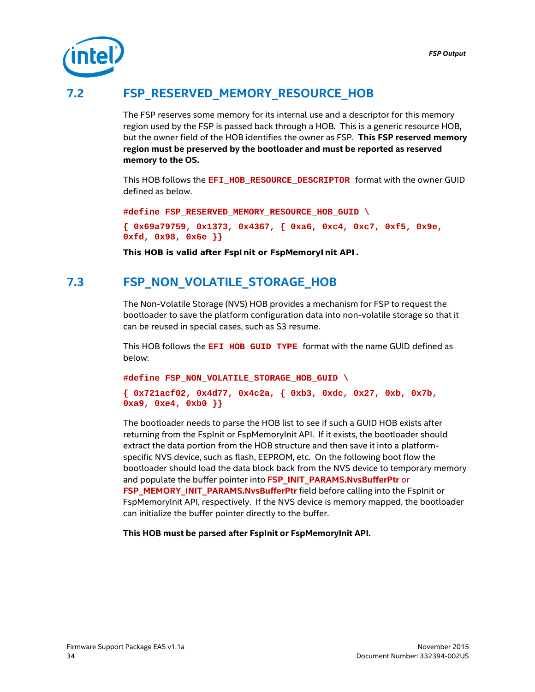

# **7.2 FSP\_RESERVED\_MEMORY\_RESOURCE\_HOB**

<span id="page-33-0"></span>The FSP reserves some memory for its internal use and a descriptor for this memory region used by the FSP is passed back through a HOB. This is a generic resource HOB, but the owner field of the HOB identifies the owner as FSP. **This FSP reserved memory region must be preserved by the bootloader and must be reported as reserved memory to the OS.**

This HOB follows the **EFI\_HOB\_RESOURCE\_DESCRIPTOR** format with the owner GUID defined as below.

**#define FSP\_RESERVED\_MEMORY\_RESOURCE\_HOB\_GUID \**

**{ 0x69a79759, 0x1373, 0x4367, { 0xa6, 0xc4, 0xc7, 0xf5, 0x9e, 0xfd, 0x98, 0x6e }}**

<span id="page-33-1"></span>**This HOB is valid after FspInit or FspMemoryInit API.**

## **7.3 FSP\_NON\_VOLATILE\_STORAGE\_HOB**

The Non-Volatile Storage (NVS) HOB provides a mechanism for FSP to request the bootloader to save the platform configuration data into non-volatile storage so that it can be reused in special cases, such as S3 resume.

This HOB follows the **EFI\_HOB\_GUID\_TYPE** format with the name GUID defined as below:

**#define FSP\_NON\_VOLATILE\_STORAGE\_HOB\_GUID \**

```
{ 0x721acf02, 0x4d77, 0x4c2a, { 0xb3, 0xdc, 0x27, 0xb, 0x7b, 
0xa9, 0xe4, 0xb0 }}
```
The bootloader needs to parse the HOB list to see if such a GUID HOB exists after returning from the FspInit or FspMemoryInit API. If it exists, the bootloader should extract the data portion from the HOB structure and then save it into a platformspecific NVS device, such as flash, EEPROM, etc. On the following boot flow the bootloader should load the data block back from the NVS device to temporary memory and populate the buffer pointer into **FSP\_INIT\_PARAMS.NvsBufferPtr** or **FSP\_MEMORY\_INIT\_PARAMS.NvsBufferPtr** field before calling into the FspInit or FspMemoryInit API, respectively. If the NVS device is memory mapped, the bootloader can initialize the buffer pointer directly to the buffer.

**This HOB must be parsed after FspInit or FspMemoryInit API.**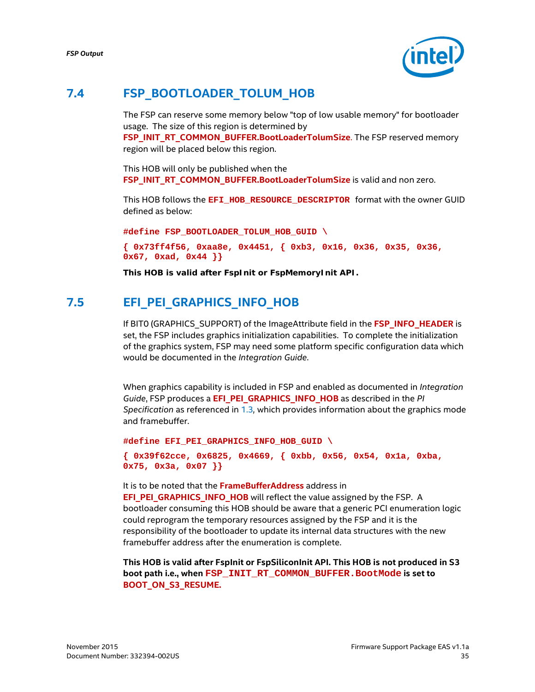

## **7.4 FSP\_BOOTLOADER\_TOLUM\_HOB**

<span id="page-34-0"></span>The FSP can reserve some memory below "top of low usable memory" for bootloader usage. The size of this region is determined by

**FSP\_INIT\_RT\_COMMON\_BUFFER.BootLoaderTolumSize**. The FSP reserved memory region will be placed below this region.

This HOB will only be published when the **FSP\_INIT\_RT\_COMMON\_BUFFER.BootLoaderTolumSize** is valid and non zero.

This HOB follows the **EFI\_HOB\_RESOURCE\_DESCRIPTOR** format with the owner GUID defined as below:

**#define FSP\_BOOTLOADER\_TOLUM\_HOB\_GUID \**

**{ 0x73ff4f56, 0xaa8e, 0x4451, { 0xb3, 0x16, 0x36, 0x35, 0x36, 0x67, 0xad, 0x44 }}**

<span id="page-34-1"></span>**This HOB is valid after FspInit or FspMemoryInit API.**

## **7.5 EFI\_PEI\_GRAPHICS\_INFO\_HOB**

If BIT0 (GRAPHICS\_SUPPORT) of the ImageAttribute field in the **FSP\_INFO\_HEADER** is set, the FSP includes graphics initialization capabilities. To complete the initialization of the graphics system, FSP may need some platform specific configuration data which would be documented in the *Integration Guide*.

When graphics capability is included in FSP and enabled as documented in *Integration Guide*, FSP produces a **EFI\_PEI\_GRAPHICS\_INFO\_HOB** as described in the *PI Specification* as referenced in [1.3](#page-6-3)*,* which provides information about the graphics mode and framebuffer.

**#define EFI\_PEI\_GRAPHICS\_INFO\_HOB\_GUID \**

```
{ 0x39f62cce, 0x6825, 0x4669, { 0xbb, 0x56, 0x54, 0x1a, 0xba, 
0x75, 0x3a, 0x07 }}
```
It is to be noted that the **FrameBufferAddress** address in **EFI\_PEI\_GRAPHICS\_INFO\_HOB** will reflect the value assigned by the FSP. A bootloader consuming this HOB should be aware that a generic PCI enumeration logic could reprogram the temporary resources assigned by the FSP and it is the responsibility of the bootloader to update its internal data structures with the new framebuffer address after the enumeration is complete.

**This HOB is valid after FspInit or FspSiliconInit API. This HOB is not produced in S3 boot path i.e., when FSP\_INIT\_RT\_COMMON\_BUFFER.BootMode is set to BOOT\_ON\_S3\_RESUME.**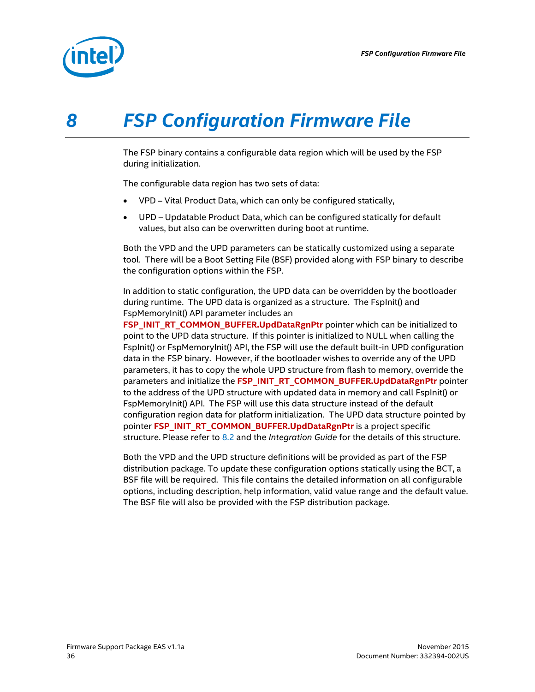

# <span id="page-35-0"></span>*8 FSP Configuration Firmware File*

The FSP binary contains a configurable data region which will be used by the FSP during initialization.

The configurable data region has two sets of data:

- VPD Vital Product Data, which can only be configured statically,
- UPD Updatable Product Data, which can be configured statically for default values, but also can be overwritten during boot at runtime.

Both the VPD and the UPD parameters can be statically customized using a separate tool. There will be a Boot Setting File (BSF) provided along with FSP binary to describe the configuration options within the FSP.

In addition to static configuration, the UPD data can be overridden by the bootloader during runtime. The UPD data is organized as a structure. The FspInit() and FspMemoryInit() API parameter includes an

**FSP\_INIT\_RT\_COMMON\_BUFFER.UpdDataRgnPtr** pointer which can be initialized to point to the UPD data structure. If this pointer is initialized to NULL when calling the FspInit() or FspMemoryInit() API, the FSP will use the default built-in UPD configuration data in the FSP binary. However, if the bootloader wishes to override any of the UPD parameters, it has to copy the whole UPD structure from flash to memory, override the parameters and initialize the **FSP\_INIT\_RT\_COMMON\_BUFFER.UpdDataRgnPtr** pointer to the address of the UPD structure with updated data in memory and call FspInit() or FspMemoryInit() API. The FSP will use this data structure instead of the default configuration region data for platform initialization. The UPD data structure pointed by pointer **FSP\_INIT\_RT\_COMMON\_BUFFER.UpdDataRgnPtr** is a project specific structure. Please refer to [8.2](#page-36-1) and the *Integration Guide* for the details of this structure.

Both the VPD and the UPD structure definitions will be provided as part of the FSP distribution package. To update these configuration options statically using the BCT, a BSF file will be required. This file contains the detailed information on all configurable options, including description, help information, valid value range and the default value. The BSF file will also be provided with the FSP distribution package.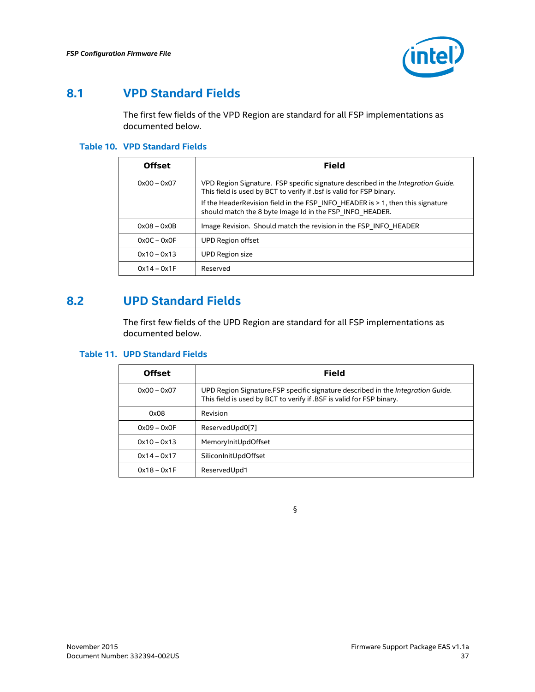

## **8.1 VPD Standard Fields**

<span id="page-36-0"></span>The first few fields of the VPD Region are standard for all FSP implementations as documented below.

#### <span id="page-36-2"></span>**Table 10. VPD Standard Fields**

| <b>Offset</b> | Field                                                                                                                                                    |
|---------------|----------------------------------------------------------------------------------------------------------------------------------------------------------|
| $0x00 - 0x07$ | VPD Region Signature. FSP specific signature described in the Integration Guide.<br>This field is used by BCT to verify if .bsf is valid for FSP binary. |
|               | If the HeaderRevision field in the FSP INFO HEADER is > 1, then this signature<br>should match the 8 byte Image Id in the FSP INFO HEADER.               |
| $0x08 - 0x0B$ | Image Revision. Should match the revision in the FSP INFO HEADER                                                                                         |
| $0x0C - 0x0F$ | UPD Region offset                                                                                                                                        |
| $0x10 - 0x13$ | <b>UPD Region size</b>                                                                                                                                   |
| $0x14 - 0x1F$ | Reserved                                                                                                                                                 |

## **8.2 UPD Standard Fields**

<span id="page-36-1"></span>The first few fields of the UPD Region are standard for all FSP implementations as documented below.

#### <span id="page-36-3"></span>**Table 11. UPD Standard Fields**

| <b>Offset</b> | Field                                                                                                                                                    |
|---------------|----------------------------------------------------------------------------------------------------------------------------------------------------------|
| $0x00 - 0x07$ | UPD Region Signature. FSP specific signature described in the Integration Guide.<br>This field is used by BCT to verify if .BSF is valid for FSP binary. |
| 0x08          | Revision                                                                                                                                                 |
| $0x09 - 0x0F$ | ReservedUpd0[7]                                                                                                                                          |
| $0x10 - 0x13$ | MemoryInitUpdOffset                                                                                                                                      |
| $0x14 - 0x17$ | SiliconInitUpdOffset                                                                                                                                     |
| $0x18 - 0x1F$ | ReservedUpd1                                                                                                                                             |

§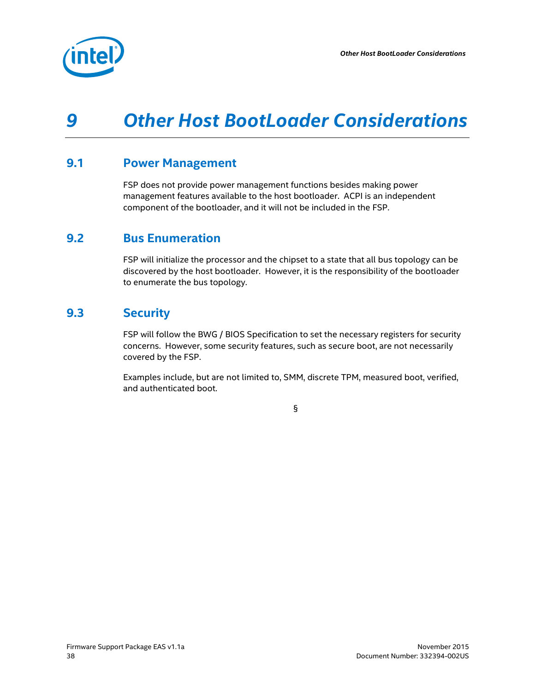# <span id="page-37-0"></span>*9 Other Host BootLoader Considerations*

## **9.1 Power Management**

<span id="page-37-2"></span><span id="page-37-1"></span>FSP does not provide power management functions besides making power management features available to the host bootloader. ACPI is an independent component of the bootloader, and it will not be included in the FSP.

## **9.2 Bus Enumeration**

<span id="page-37-3"></span>FSP will initialize the processor and the chipset to a state that all bus topology can be discovered by the host bootloader. However, it is the responsibility of the bootloader to enumerate the bus topology.

## **9.3 Security**

FSP will follow the BWG / BIOS Specification to set the necessary registers for security concerns. However, some security features, such as secure boot, are not necessarily covered by the FSP.

Examples include, but are not limited to, SMM, discrete TPM, measured boot, verified, and authenticated boot.

§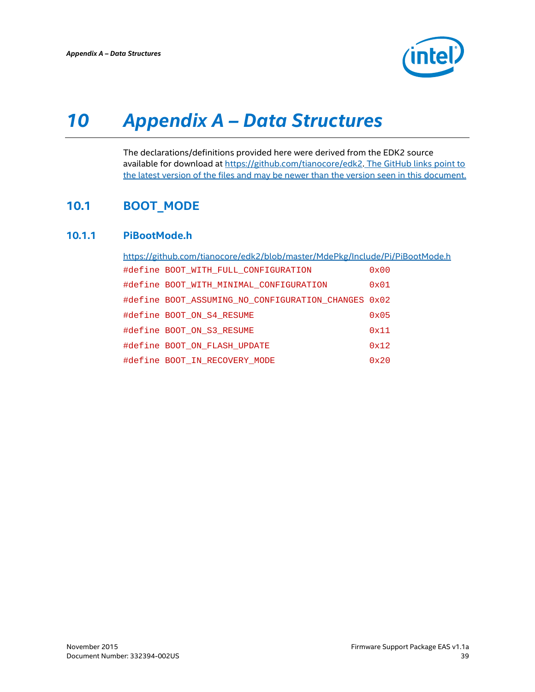

# <span id="page-38-0"></span>*10 Appendix A – Data Structures*

<span id="page-38-1"></span>The declarations/definitions provided here were derived from the EDK2 source available for download at [https://github.com/tianocore/edk2.](https://github.com/tianocore/edk2) The GitHub links point to the latest version of the files and may be newer than the version seen in this document.

# **10.1 BOOT\_MODE**

#### **10.1.1 PiBootMode.h**

<span id="page-38-2"></span>

| https://github.com/tianocore/edk2/blob/master/MdePkg/Include/Pi/PiBootMode.h |  |               |
|------------------------------------------------------------------------------|--|---------------|
| #define BOOT_WITH_FULL_CONFIGURATION                                         |  | $0 \times 00$ |
| #define BOOT WITH MINIMAL CONFIGURATION                                      |  | $0 \times 01$ |
| #define BOOT_ASSUMING_NO_CONFIGURATION_CHANGES 0x02                          |  |               |
| #define BOOT ON S4 RESUME                                                    |  | $0 \times 05$ |
| #define BOOT ON S3 RESUME                                                    |  | 0x11          |
| #define BOOT ON FLASH UPDATE                                                 |  | 0x12          |
| #define BOOT IN RECOVERY MODE                                                |  | $0 \times 20$ |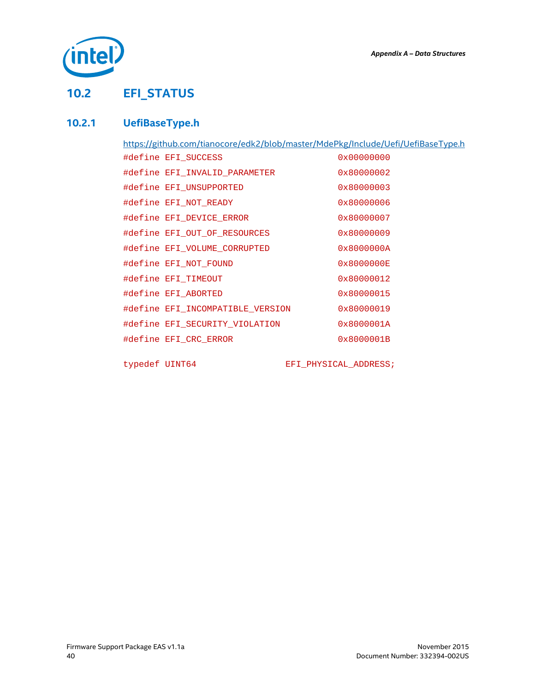

# **10.2 EFI\_STATUS**

## **10.2.1 UefiBaseType.h**

<span id="page-39-1"></span><span id="page-39-0"></span><https://github.com/tianocore/edk2/blob/master/MdePkg/Include/Uefi/UefiBaseType.h>

| #define EFI SUCCESS              | 0x00000000            |
|----------------------------------|-----------------------|
| #define EFI INVALID PARAMETER    | $0 \times 80000002$   |
| #define EFI UNSUPPORTED          | 0x80000003            |
| #define EFI NOT READY            | $0 \times 80000006$   |
| #define EFI DEVICE ERROR         | 0x80000007            |
| #define EFI OUT OF RESOURCES     | 0x80000009            |
| #define EFI VOLUME CORRUPTED     | $0 \times 80000000$ A |
| #define EFI NOT FOUND            | $0 \times 8000000E$   |
| #define EFI TIMEOUT              | 0x80000012            |
| #define EFI_ABORTED              | 0x80000015            |
| #define EFI INCOMPATIBLE VERSION | 0x80000019            |
| #define EFI SECURITY VIOLATION   | 0x8000001A            |
| #define EFI CRC ERROR            | 0x8000001B            |
|                                  |                       |

typedef UINT64 EFI\_PHYSICAL\_ADDRESS;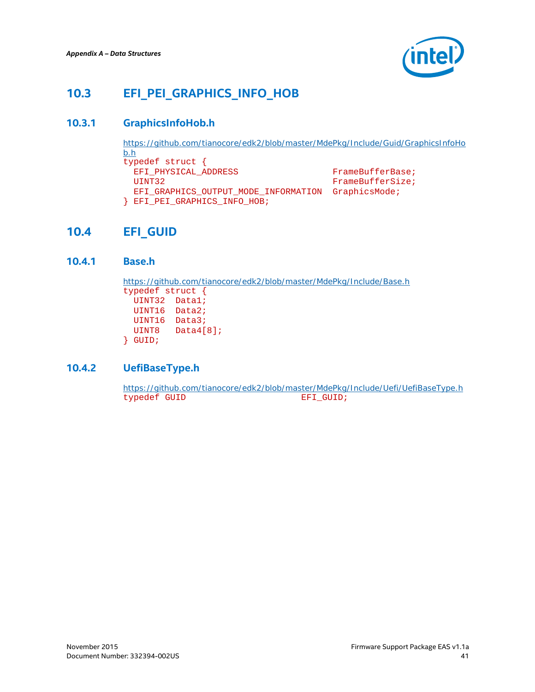

## **10.3 EFI\_PEI\_GRAPHICS\_INFO\_HOB**

### **10.3.1 GraphicsInfoHob.h**

<span id="page-40-1"></span><span id="page-40-0"></span>[https://github.com/tianocore/edk2/blob/master/MdePkg/Include/Guid/GraphicsInfoHo](https://github.com/tianocore/edk2/blob/master/MdePkg/Include/Guid/GraphicsInfoHob.h) [b.h](https://github.com/tianocore/edk2/blob/master/MdePkg/Include/Guid/GraphicsInfoHob.h) typedef struct { EFI\_PHYSICAL\_ADDRESS FRAMEBufferBase;<br>UINT32 FrameBufferSize; FrameBufferSize; EFI\_GRAPHICS\_OUTPUT\_MODE\_INFORMATION GraphicsMode; } EFI\_PEI\_GRAPHICS\_INFO\_HOB;

## <span id="page-40-2"></span>**10.4 EFI\_GUID**

#### **10.4.1 Base.h**

<span id="page-40-3"></span><https://github.com/tianocore/edk2/blob/master/MdePkg/Include/Base.h> typedef struct { UINT32 Data1; UINT16 Data2; UINT16 Data3; UINT8 Data4[8];

```
} GUID;
```
### **10.4.2 UefiBaseType.h**

<https://github.com/tianocore/edk2/blob/master/MdePkg/Include/Uefi/UefiBaseType.h> typedef GUID BEFI\_GUID;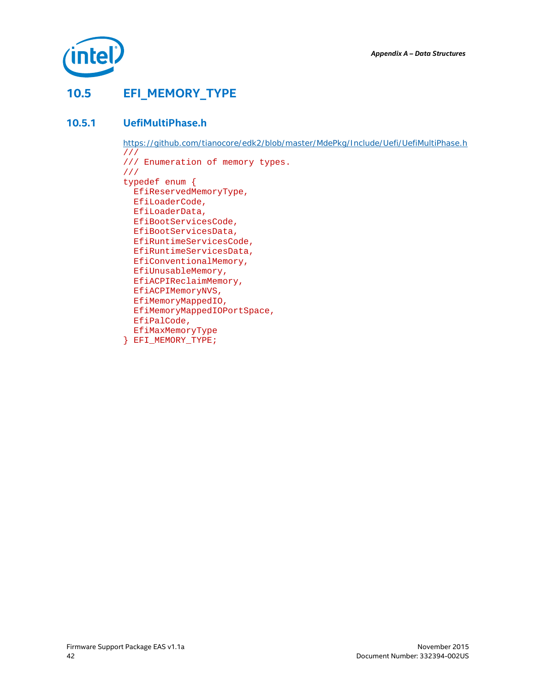

# **10.5 EFI\_MEMORY\_TYPE**

## **10.5.1 UefiMultiPhase.h**

```
https://github.com/tianocore/edk2/blob/master/MdePkg/Include/Uefi/UefiMultiPhase.h
///
/// Enumeration of memory types.
///
typedef enum {
  EfiReservedMemoryType,
  EfiLoaderCode,
  EfiLoaderData,
   EfiBootServicesCode,
  EfiBootServicesData,
  EfiRuntimeServicesCode,
   EfiRuntimeServicesData,
  EfiConventionalMemory,
   EfiUnusableMemory,
   EfiACPIReclaimMemory,
   EfiACPIMemoryNVS,
   EfiMemoryMappedIO,
   EfiMemoryMappedIOPortSpace,
   EfiPalCode,
```

```
 EfiMaxMemoryType
```
} EFI\_MEMORY\_TYPE;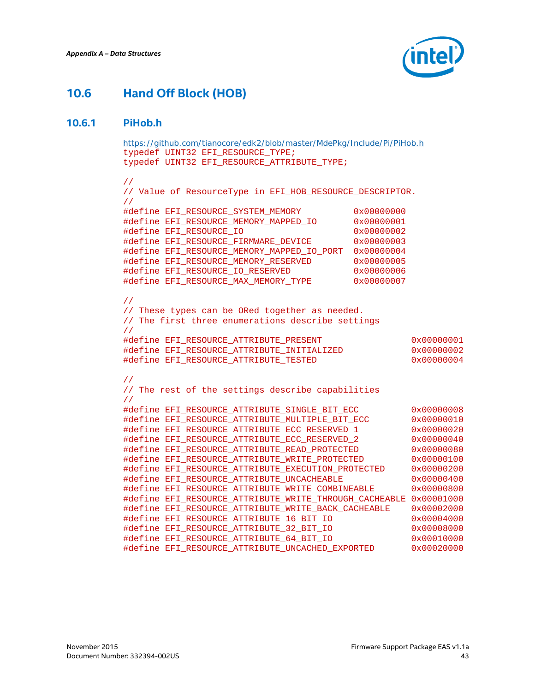

# **10.6 Hand Off Block (HOB)**

#### **10.6.1 PiHob.h**

```
https://github.com/tianocore/edk2/blob/master/MdePkg/Include/Pi/PiHob.h
typedef UINT32 EFI_RESOURCE_TYPE;
typedef UINT32 EFI_RESOURCE_ATTRIBUTE_TYPE;
//
// Value of ResourceType in EFI_HOB_RESOURCE_DESCRIPTOR.
//
#define EFI_RESOURCE_SYSTEM_MEMORY 0x00000000
#define EFI_RESOURCE_MEMORY_MAPPED_IO 0x00000001
#define EFI RESOURCE IO
#define EFI_RESOURCE_FIRMWARE_DEVICE 0x00000003
#define EFI_RESOURCE_MEMORY_MAPPED_IO_PORT 0x00000004
#define EFI_RESOURCE_MEMORY_RESERVED 0x00000005
#define EFI_RESOURCE_IO_RESERVED 0x00000006
#define EFI RESOURCE MAX MEMORY TYPE
//
// These types can be ORed together as needed.
// The first three enumerations describe settings
//
#define EFI_RESOURCE_ATTRIBUTE_PRESENT 0x00000001
#define EFI_RESOURCE_ATTRIBUTE_INITIALIZED 0x00000002
#define EFI_RESOURCE_ATTRIBUTE_TESTED
//
// The rest of the settings describe capabilities
//
#define EFI_RESOURCE_ATTRIBUTE_SINGLE_BIT_ECC 0x00000008
#define EFI_RESOURCE_ATTRIBUTE_MULTIPLE_BIT_ECC 0x00000010
#define EFI_RESOURCE_ATTRIBUTE_ECC_RESERVED_1 0x00000020
#define EFI_RESOURCE_ATTRIBUTE_ECC_RESERVED_2 0x00000040
#define EFI_RESOURCE_ATTRIBUTE_READ_PROTECTED 0x00000080
#define EFI_RESOURCE_ATTRIBUTE_WRITE_PROTECTED 0x00000100
#define EFI_RESOURCE_ATTRIBUTE_EXECUTION_PROTECTED 0x00000200
#define EFI_RESOURCE_ATTRIBUTE_UNCACHEABLE 0x00000400
#define EFI_RESOURCE_ATTRIBUTE_WRITE_COMBINEABLE
#define EFI_RESOURCE_ATTRIBUTE_WRITE_THROUGH_CACHEABLE 0x00001000
#define EFI_RESOURCE_ATTRIBUTE_WRITE_BACK_CACHEABLE 0x00002000
#define EFI_RESOURCE_ATTRIBUTE_16_BIT_IO 0x00004000
#define EFI_RESOURCE_ATTRIBUTE_32_BIT_IO 0x00008000
#define EFI_RESOURCE_ATTRIBUTE_64_BIT_IO 0x00010000
#define EFI_RESOURCE_ATTRIBUTE_UNCACHED_EXPORTED 0x00020000
```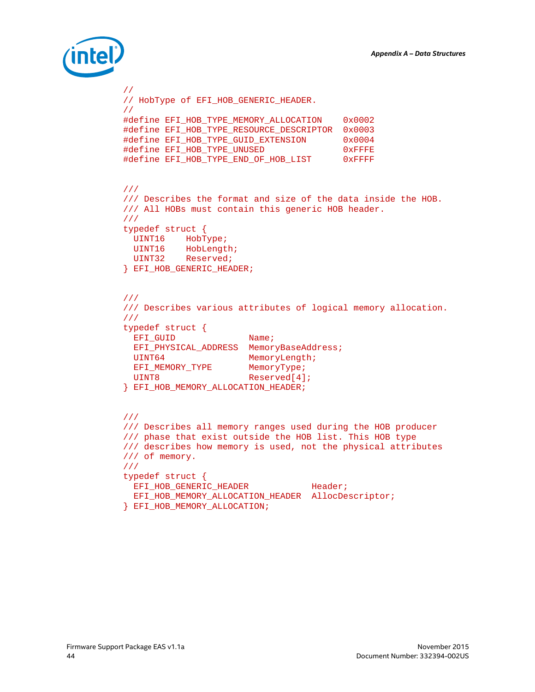

```
//
// HobType of EFI_HOB_GENERIC_HEADER.
//
#define EFI_HOB_TYPE_MEMORY_ALLOCATION 0x0002
#define EFI_HOB_TYPE_RESOURCE_DESCRIPTOR 0x0003
#define EFI_HOB_TYPE_GUID_EXTENSION 0x0004
#define EFI_HOB_TYPE_UNUSED
#define EFI_HOB_TYPE_END_OF_HOB_LIST 0xFFFF
///
/// Describes the format and size of the data inside the HOB.
/// All HOBs must contain this generic HOB header.
///
typedef struct {
 UINT16 HobType;<br>UINT16 HobLengt
 UINT16 HobLength;
 UINT32 Reserved;
} EFI_HOB_GENERIC_HEADER;
///
/// Describes various attributes of logical memory allocation.
///
typedef struct {
 EFI_GUID Name;
 EFI_PHYSICAL_ADDRESS MemoryBaseAddress;<br>UINT64 MemoryLength;
                       MemoryLength;<br>MemoryType;
 EFI_MEMORY_TYPE<br>UINT8
                        Reserved[4];
} EFI_HOB_MEMORY_ALLOCATION_HEADER;
///
/// Describes all memory ranges used during the HOB producer 
/// phase that exist outside the HOB list. This HOB type 
/// describes how memory is used, not the physical attributes
/// of memory.
///
typedef struct {
EFI_HOB_GENERIC_HEADER Header;
  EFI_HOB_MEMORY_ALLOCATION_HEADER AllocDescriptor;
} EFI_HOB_MEMORY_ALLOCATION;
```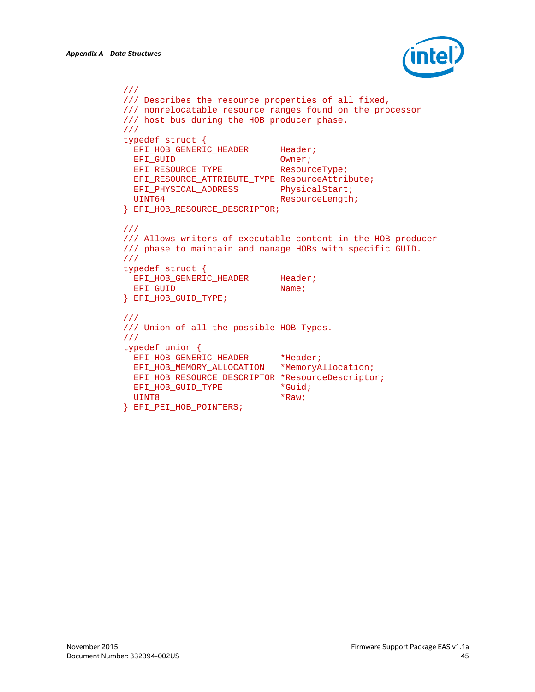

```
///
/// Describes the resource properties of all fixed, 
/// nonrelocatable resource ranges found on the processor
/// host bus during the HOB producer phase.
///
typedef struct {
  EFI_HOB_GENERIC_HEADER Header;
 EFI_GUID
 EFI_RESOURCE_TYPE ResourceType;
 EFI_RESOURCE_ATTRIBUTE_TYPE_ResourceAttribute;
 EFI_PHYSICAL_ADDRESS PhysicalStart;<br>UINT64 ResourceLength
                              ResourceLength;
} EFI_HOB_RESOURCE_DESCRIPTOR;
///
/// Allows writers of executable content in the HOB producer
/// phase to maintain and manage HOBs with specific GUID.
///
typedef struct {
  EFI_HOB_GENERIC_HEADER Header;
 EFI_GUID
} EFI_HOB_GUID_TYPE;
///
/// Union of all the possible HOB Types.
///
typedef union {
 EFI_HOB_GENERIC_HEADER *Header;
  EFI_HOB_MEMORY_ALLOCATION *MemoryAllocation;
 EFI_HOB_RESOURCE_DESCRIPTOR *ResourceDescriptor;<br>EFI_HOB_GUID_TYPE *Guid;
 EFI_HOB_GUID_TYPE *Guid<br>UINT8 *Raw;
UINT8 *Raw;
} EFI_PEI_HOB_POINTERS;
```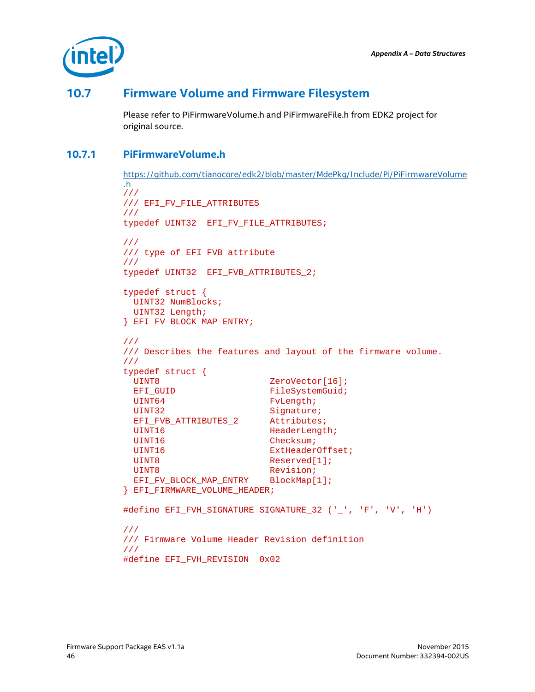

## **10.7 Firmware Volume and Firmware Filesystem**

<span id="page-45-1"></span><span id="page-45-0"></span>Please refer to PiFirmwareVolume.h and PiFirmwareFile.h from EDK2 project for original source.

### **10.7.1 PiFirmwareVolume.h**

```
https://github.com/tianocore/edk2/blob/master/MdePkg/Include/Pi/PiFirmwareVolume
.h
///
/// EFI_FV_FILE_ATTRIBUTES
///
typedef UINT32 EFI_FV_FILE_ATTRIBUTES;
///
/// type of EFI FVB attribute
/// 
typedef UINT32 EFI_FVB_ATTRIBUTES_2;
typedef struct {
 UINT32 NumBlocks;
  UINT32 Length;
} EFI_FV_BLOCK_MAP_ENTRY;
///
/// Describes the features and layout of the firmware volume.
///
typedef struct {
  UINT8 ZeroVector[16];
  EFI_GUID FileSystemGuid;
 UINT64<br>UINT32 Signature
                            Signature;<br>Attributes;
 EFI_FVB_ATTRIBUTES_2<br>UINT16
 UINT16 HeaderLength;<br>UINT16 HeaderLength;
 UINT16 Checksum;<br>
UINT16 ExtHeader
 UINT16 ExtHeaderOffset;<br>UINT8 Reserved[1];
 UINT8 Reserved[1];<br>UINT8 Revision;
                            Revision;<br>BlockMap[1];
 EFI_FV_BLOCK_MAP_ENTRY
} EFI_FIRMWARE_VOLUME_HEADER;
#define EFI_FVH_SIGNATURE SIGNATURE_32 ('_', 'F', 'V', 'H')
///
/// Firmware Volume Header Revision definition
///
#define EFI_FVH_REVISION 0x02
```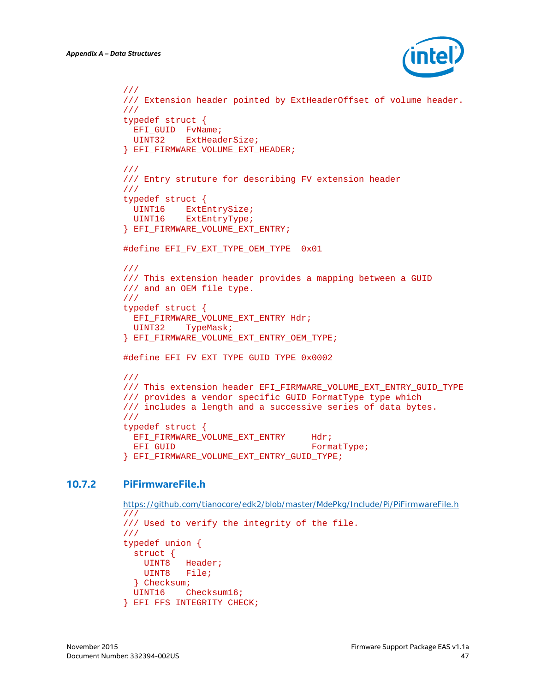

```
///
/// Extension header pointed by ExtHeaderOffset of volume header.
/// 
typedef struct {
 EFI_GUID FvName;<br>UINT32 ExtHead
           ExtHeaderSize;
} EFI_FIRMWARE_VOLUME_EXT_HEADER;
///
/// Entry struture for describing FV extension header
/// 
typedef struct {
 UINT16 ExtEntrySize;<br>UINT16 ExtEntryType;
           ExtEntryType;
} EFI_FIRMWARE_VOLUME_EXT_ENTRY;
#define EFI_FV_EXT_TYPE_OEM_TYPE 0x01
///
/// This extension header provides a mapping between a GUID
/// and an OEM file type.
/// 
typedef struct {
  EFI_FIRMWARE_VOLUME_EXT_ENTRY Hdr;
  UINT32 TypeMask;
} EFI_FIRMWARE_VOLUME_EXT_ENTRY_OEM_TYPE;
#define EFI_FV_EXT_TYPE_GUID_TYPE_0x0002
///
/// This extension header EFI_FIRMWARE_VOLUME_EXT_ENTRY_GUID_TYPE
/// provides a vendor specific GUID FormatType type which 
/// includes a length and a successive series of data bytes.
///
typedef struct {
  EFI_FIRMWARE_VOLUME_EXT_ENTRY Hdr;
                                      FormatType;
} EFI_FIRMWARE_VOLUME_EXT_ENTRY_GUID_TYPE;
```
### **10.7.2 PiFirmwareFile.h**

```
https://github.com/tianocore/edk2/blob/master/MdePkg/Include/Pi/PiFirmwareFile.h
///
/// Used to verify the integrity of the file.
/// 
typedef union {
   struct {
    UINT8 Header;
    UINT8 File;
   } Checksum;
  UINT16 Checksum16;
} EFI_FFS_INTEGRITY_CHECK;
```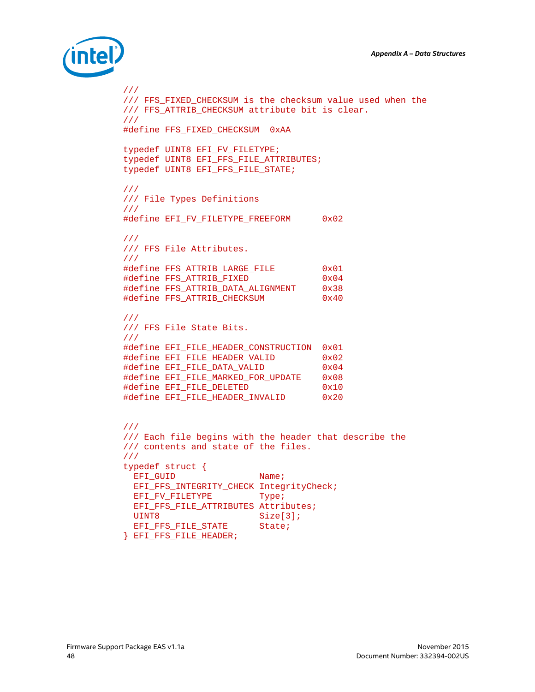

```
///
/// FFS_FIXED_CHECKSUM is the checksum value used when the
/// FFS_ATTRIB_CHECKSUM attribute bit is clear.
///
#define FFS_FIXED_CHECKSUM 0xAA
typedef UINT8 EFI_FV_FILETYPE;
typedef UINT8 EFI_FFS_FILE_ATTRIBUTES;
typedef UINT8 EFI FFS FILE STATE;
///
/// File Types Definitions
/// 
#define EFI_FV_FILETYPE_FREEFORM 0x02
/// 
/// FFS File Attributes.
/// 
#define FFS_ATTRIB_LARGE_FILE 0x01<br>#define FFS ATTRIB FIXED 0x04
#define FFS_ATTRIB_FIXED 0x04
#define FFS_ATTRIB_DATA_ALIGNMENT 0x38
#define FFS_ATTRIB_CHECKSUM 0x40
/// 
/// FFS File State Bits.
/// 
#define EFI_FILE_HEADER_CONSTRUCTION 0x01
#define EFI_FILE_HEADER_VALID 0x02<br>#define EFI_FILE_DATA_VALID 0x04
#define EFI_FILE_DATA_VALID
#define EFI_FILE_MARKED_FOR_UPDATE 0x08<br>#define EFI_FILE_DELETED 0x10
#define EFI_FILE_DELETED 0x10
#define EFI FILE HEADER INVALID
///
/// Each file begins with the header that describe the 
/// contents and state of the files.
/// 
typedef struct {
 EFI_GUID Name;
 EFI_FFS_INTEGRITY_CHECK IntegrityCheck;<br>EFI_FV_FILETYPE    Type;
 EFI_FV_FILETYPE
 EFI_FFS_FILE_ATTRIBUTES Attributes;<br>UINT8 Size[3];
                           Size[3];<br>State;
 EFI_FFS_FILE_STATE
} EFI_FFS_FILE_HEADER;
```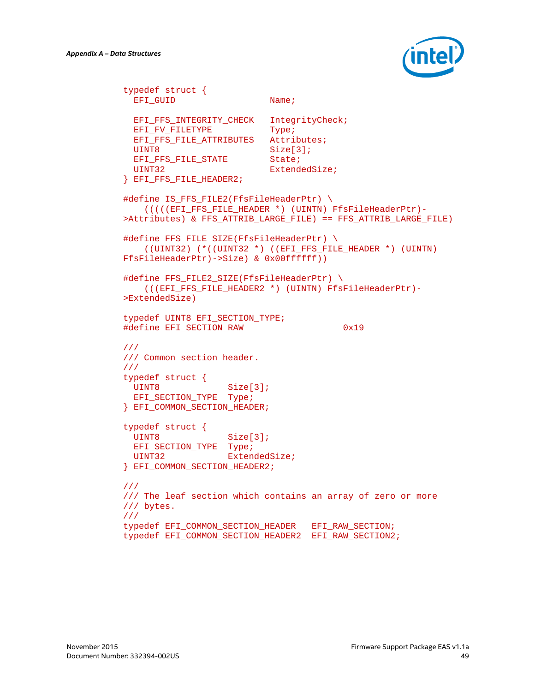

```
typedef struct {
 EFI_GUID Name;
 EFI_FFS_INTEGRITY_CHECK IntegrityCheck;<br>EFI_FV_FILETYPE Type;
 EFI_FV_FILETYPE
  EFI_FFS_FILE_ATTRIBUTES Attributes;
 UINT8 Size[3];<br>
EFI FFS FILE STATE State;
 EFI_FFS_FILE_STATE<br>UINT32
                            ExtendedSize;
} EFI_FFS_FILE_HEADER2;
#define IS FFS FILE2(FfsFileHeaderPtr) \
    (((((EFI_FFS_FILE_HEADER *) (UINTN) FfsFileHeaderPtr)-
>Attributes) & FFS_ATTRIB_LARGE_FILE) == FFS_ATTRIB_LARGE_FILE)
#define FFS_FILE_SIZE(FfsFileHeaderPtr) \
     ((UINT32) (*((UINT32 *) ((EFI_FFS_FILE_HEADER *) (UINTN) 
FfsFileHeaderPtr)->Size) & 0x00ffffff))
#define FFS_FILE2_SIZE(FfsFileHeaderPtr) \
     (((EFI_FFS_FILE_HEADER2 *) (UINTN) FfsFileHeaderPtr)-
>ExtendedSize)
typedef UINT8 EFI_SECTION_TYPE;
#define EFI_SECTION_RAW 0x19
///
/// Common section header.
/// 
typedef struct {
                    Size[3];
 EFI_SECTION_TYPE Type;
} EFI_COMMON_SECTION_HEADER;
typedef struct {
                    Size[3];
 EFI_SECTION_TYPE Type;<br>UINT32 Exten
                    ExtendedSize;
} EFI_COMMON_SECTION_HEADER2;
///
/// The leaf section which contains an array of zero or more 
/// bytes.
/// 
typedef EFI_COMMON_SECTION_HEADER EFI_RAW_SECTION;
typedef EFI_COMMON_SECTION_HEADER2 EFI_RAW_SECTION2;
```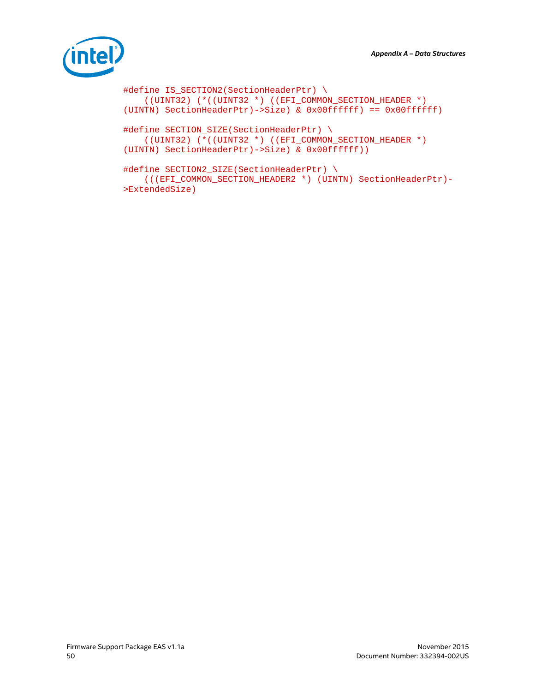

```
#define IS_SECTION2(SectionHeaderPtr) \
    ((UINT32) (*((UINT32 *) ((EFI_COMMON_SECTION_HEADER *) 
(UINTN) SectionHeaderPtr)->Size) & 0x00ffffff) == 0x00ffffff)
#define SECTION_SIZE(SectionHeaderPtr) \
    ((UINT32) (*((UINT32 *) ((EFI_COMMON_SECTION_HEADER *) 
(UINTN) SectionHeaderPtr)->Size) & 0x00ffffff))
#define SECTION2_SIZE(SectionHeaderPtr) \
     (((EFI_COMMON_SECTION_HEADER2 *) (UINTN) SectionHeaderPtr)-
>ExtendedSize)
```